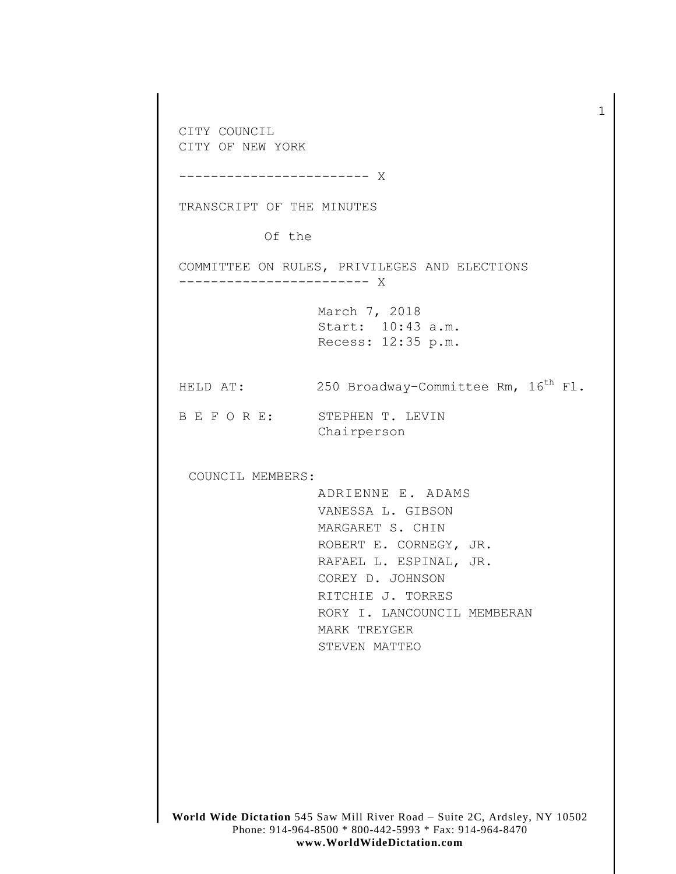**World Wide Dictation** 545 Saw Mill River Road – Suite 2C, Ardsley, NY 10502 CITY COUNCIL CITY OF NEW YORK ------------------------ X TRANSCRIPT OF THE MINUTES Of the COMMITTEE ON RULES, PRIVILEGES AND ELECTIONS ------------------------ X March 7, 2018 Start: 10:43 a.m. Recess: 12:35 p.m. HELD AT: 250 Broadway-Committee Rm, 16<sup>th</sup> Fl. B E F O R E: STEPHEN T. LEVIN Chairperson COUNCIL MEMBERS: ADRIENNE E. ADAMS VANESSA L. GIBSON MARGARET S. CHIN ROBERT E. CORNEGY, JR. RAFAEL L. ESPINAL, JR. COREY D. JOHNSON RITCHIE J. TORRES RORY I. LANCOUNCIL MEMBERAN MARK TREYGER STEVEN MATTEO

1

Phone: 914-964-8500 \* 800-442-5993 \* Fax: 914-964-8470 **www.WorldWideDictation.com**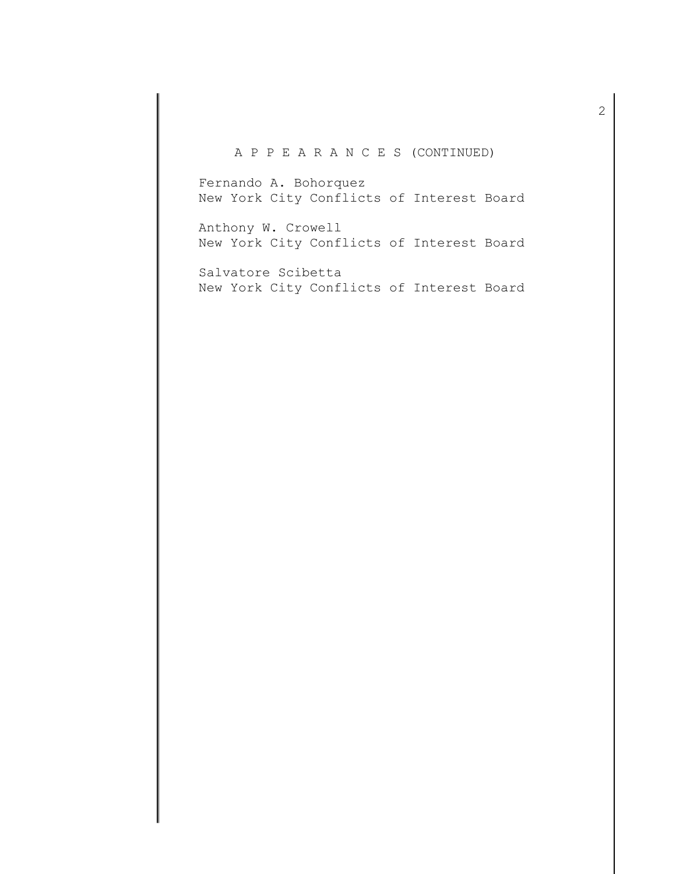## A P P E A R A N C E S (CONTINUED)

Fernando A. Bohorquez New York City Conflicts of Interest Board

Anthony W. Crowell New York City Conflicts of Interest Board

Salvatore Scibetta New York City Conflicts of Interest Board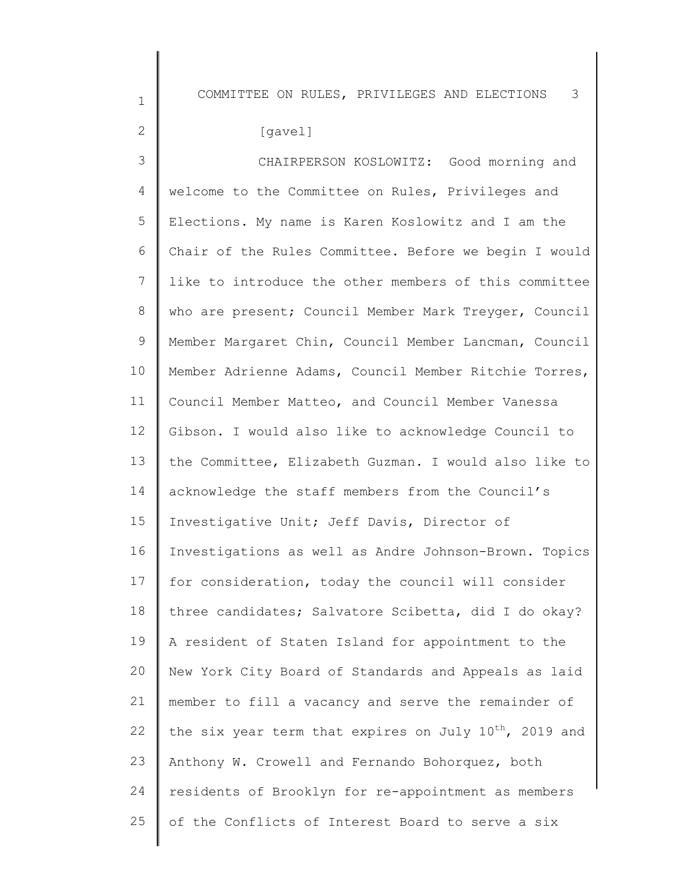COMMITTEE ON RULES, PRIVILEGES AND ELECTIONS 3

| ٩ |  |
|---|--|

1

2

3 4 5 6 7 8 9 10 11 12 13 14 15 16 17 18 19 20 21 22 23 24 25 CHAIRPERSON KOSLOWITZ: Good morning and welcome to the Committee on Rules, Privileges and Elections. My name is Karen Koslowitz and I am the Chair of the Rules Committee. Before we begin I would like to introduce the other members of this committee who are present; Council Member Mark Treyger, Council Member Margaret Chin, Council Member Lancman, Council Member Adrienne Adams, Council Member Ritchie Torres, Council Member Matteo, and Council Member Vanessa Gibson. I would also like to acknowledge Council to the Committee, Elizabeth Guzman. I would also like to acknowledge the staff members from the Council's Investigative Unit; Jeff Davis, Director of Investigations as well as Andre Johnson-Brown. Topics for consideration, today the council will consider three candidates; Salvatore Scibetta, did I do okay? A resident of Staten Island for appointment to the New York City Board of Standards and Appeals as laid member to fill a vacancy and serve the remainder of the six year term that expires on July  $10^{th}$ , 2019 and Anthony W. Crowell and Fernando Bohorquez, both residents of Brooklyn for re-appointment as members of the Conflicts of Interest Board to serve a six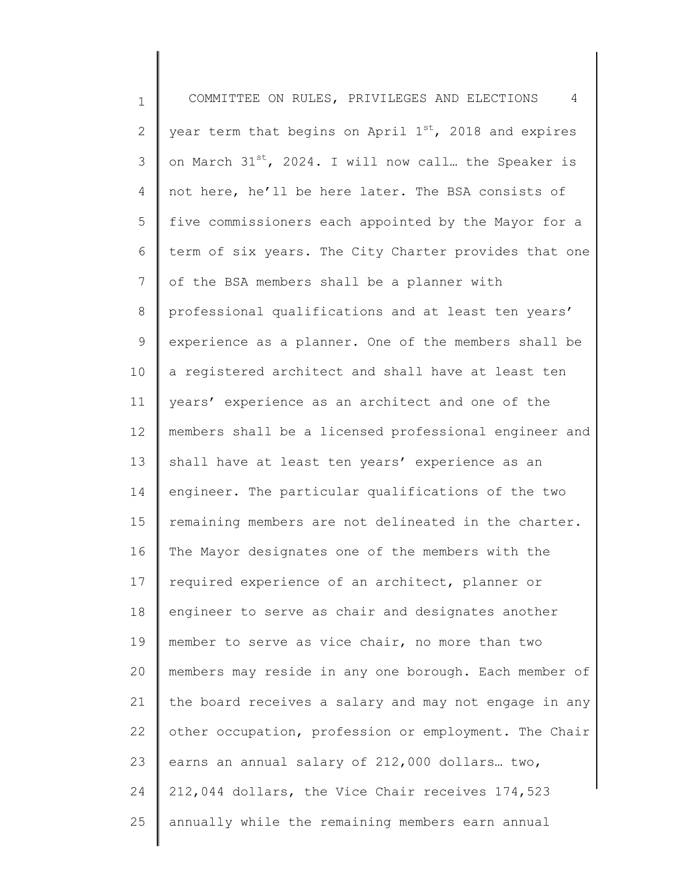1 2 3 4 5 6 7 8 9 10 11 12 13 14 15 16 17 18 19 20 21 22 23 24 25 COMMITTEE ON RULES, PRIVILEGES AND ELECTIONS 4 year term that begins on April  $1^{st}$ , 2018 and expires on March  $31^{st}$ , 2024. I will now call. the Speaker is not here, he'll be here later. The BSA consists of five commissioners each appointed by the Mayor for a term of six years. The City Charter provides that one of the BSA members shall be a planner with professional qualifications and at least ten years' experience as a planner. One of the members shall be a registered architect and shall have at least ten years' experience as an architect and one of the members shall be a licensed professional engineer and shall have at least ten years' experience as an engineer. The particular qualifications of the two remaining members are not delineated in the charter. The Mayor designates one of the members with the required experience of an architect, planner or engineer to serve as chair and designates another member to serve as vice chair, no more than two members may reside in any one borough. Each member of the board receives a salary and may not engage in any other occupation, profession or employment. The Chair earns an annual salary of 212,000 dollars… two, 212,044 dollars, the Vice Chair receives 174,523 annually while the remaining members earn annual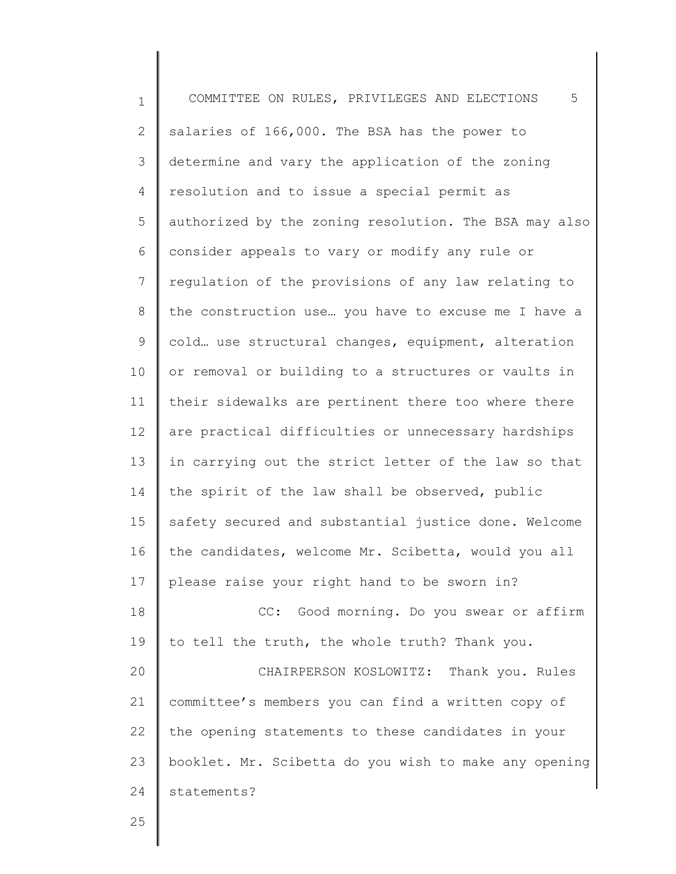1 2 3 4 5 6 7 8 9 10 11 12 13 14 15 16 17 18 19 20 21 22 23 24 25 COMMITTEE ON RULES, PRIVILEGES AND ELECTIONS 5 salaries of 166,000. The BSA has the power to determine and vary the application of the zoning resolution and to issue a special permit as authorized by the zoning resolution. The BSA may also consider appeals to vary or modify any rule or regulation of the provisions of any law relating to the construction use… you have to excuse me I have a cold… use structural changes, equipment, alteration or removal or building to a structures or vaults in their sidewalks are pertinent there too where there are practical difficulties or unnecessary hardships in carrying out the strict letter of the law so that the spirit of the law shall be observed, public safety secured and substantial justice done. Welcome the candidates, welcome Mr. Scibetta, would you all please raise your right hand to be sworn in? CC: Good morning. Do you swear or affirm to tell the truth, the whole truth? Thank you. CHAIRPERSON KOSLOWITZ: Thank you. Rules committee's members you can find a written copy of the opening statements to these candidates in your booklet. Mr. Scibetta do you wish to make any opening statements?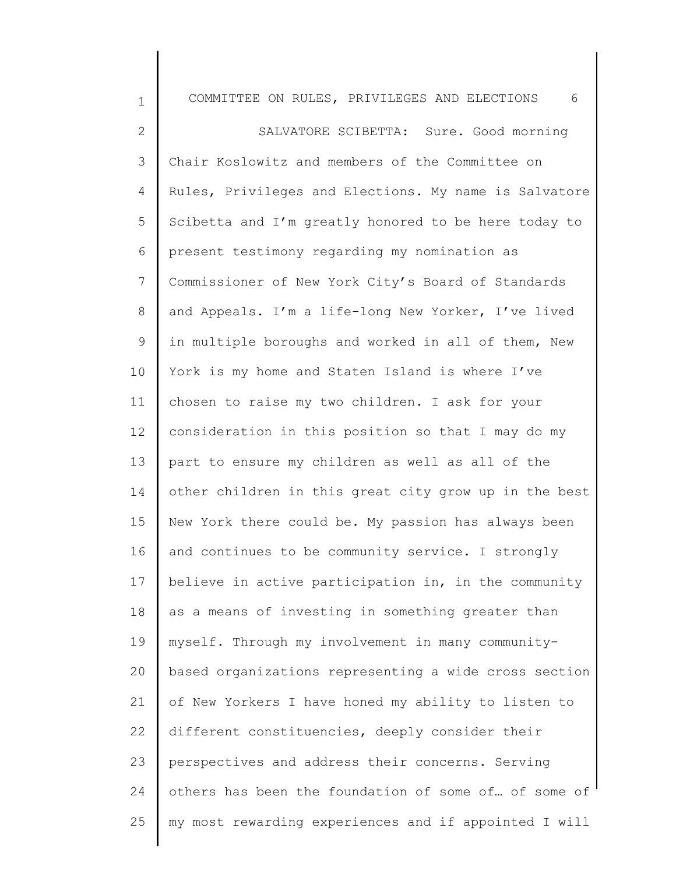| $\mathbf 1$     | COMMITTEE ON RULES, PRIVILEGES AND ELECTIONS<br>6     |
|-----------------|-------------------------------------------------------|
| $\mathbf{2}$    | SALVATORE SCIBETTA: Sure. Good morning                |
| 3               | Chair Koslowitz and members of the Committee on       |
| 4               | Rules, Privileges and Elections. My name is Salvatore |
| 5               | Scibetta and I'm greatly honored to be here today to  |
| 6               | present testimony regarding my nomination as          |
| 7               | Commissioner of New York City's Board of Standards    |
| 8               | and Appeals. I'm a life-long New Yorker, I've lived   |
| $\mathsf 9$     | in multiple boroughs and worked in all of them, New   |
| 10              | York is my home and Staten Island is where I've       |
| 11              | chosen to raise my two children. I ask for your       |
| 12 <sup>°</sup> | consideration in this position so that I may do my    |
| 13              | part to ensure my children as well as all of the      |
| 14              | other children in this great city grow up in the best |
| 15              | New York there could be. My passion has always been   |
| 16              | and continues to be community service. I strongly     |
| 17              | believe in active participation in, in the community  |
| 18              | as a means of investing in something greater than     |
| 19              | myself. Through my involvement in many community-     |
| 20              | based organizations representing a wide cross section |
| 21              | of New Yorkers I have honed my ability to listen to   |
| 22              | different constituencies, deeply consider their       |
| 23              | perspectives and address their concerns. Serving      |
| 24              | others has been the foundation of some of of some of  |
| 25              | my most rewarding experiences and if appointed I will |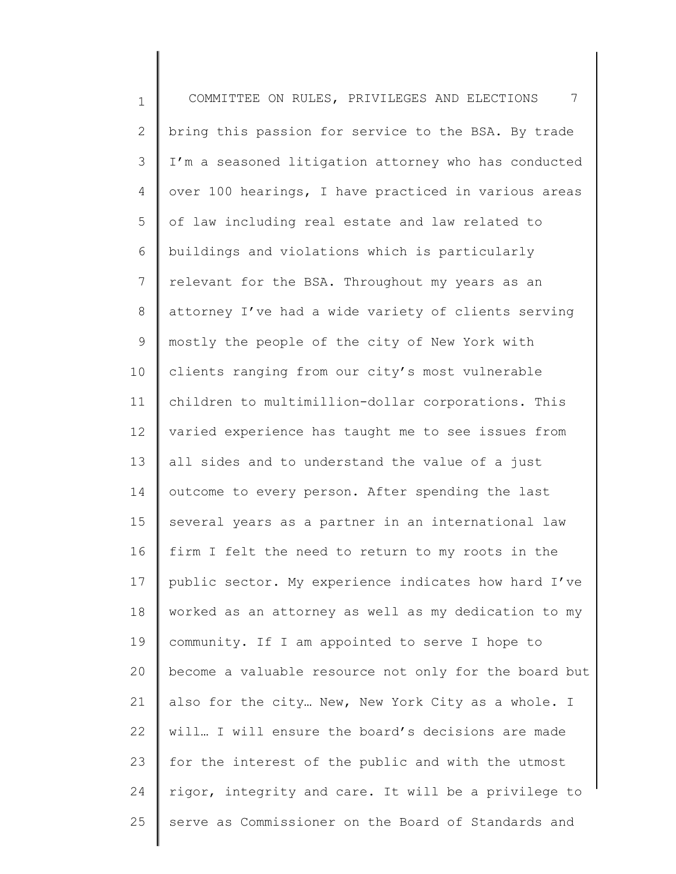1 2 3 4 5 6 7 8 9 10 11 12 13 14 15 16 17 18 19 20 21 22 23 24 25 COMMITTEE ON RULES, PRIVILEGES AND ELECTIONS 7 bring this passion for service to the BSA. By trade I'm a seasoned litigation attorney who has conducted over 100 hearings, I have practiced in various areas of law including real estate and law related to buildings and violations which is particularly relevant for the BSA. Throughout my years as an attorney I've had a wide variety of clients serving mostly the people of the city of New York with clients ranging from our city's most vulnerable children to multimillion-dollar corporations. This varied experience has taught me to see issues from all sides and to understand the value of a just outcome to every person. After spending the last several years as a partner in an international law firm I felt the need to return to my roots in the public sector. My experience indicates how hard I've worked as an attorney as well as my dedication to my community. If I am appointed to serve I hope to become a valuable resource not only for the board but also for the city… New, New York City as a whole. I will… I will ensure the board's decisions are made for the interest of the public and with the utmost rigor, integrity and care. It will be a privilege to serve as Commissioner on the Board of Standards and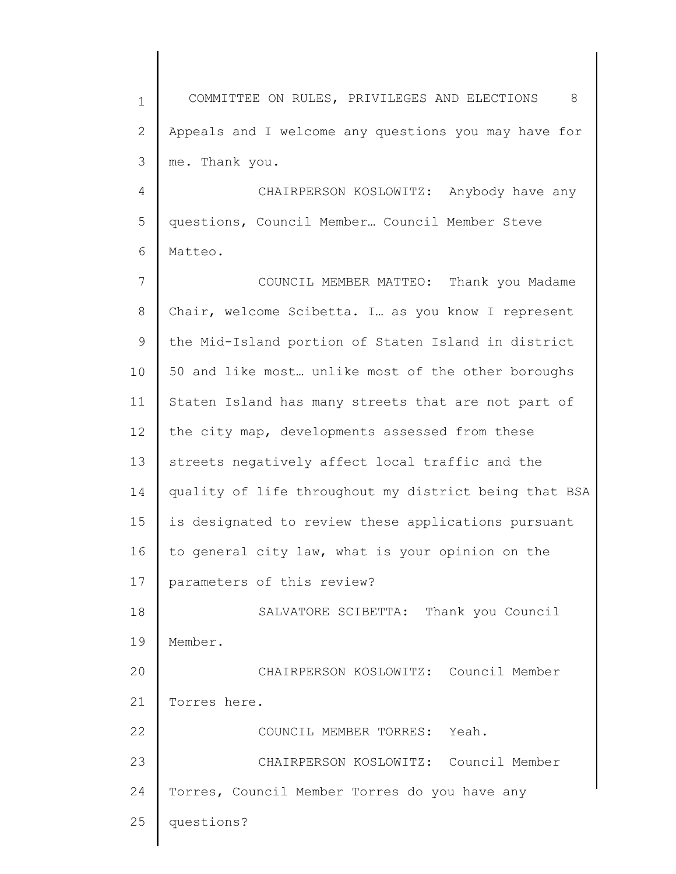1 2 3 4 5 6 7 8 9 10 11 12 13 14 15 16 17 18 19 20 21 22 23 24 25 COMMITTEE ON RULES, PRIVILEGES AND ELECTIONS 8 Appeals and I welcome any questions you may have for me. Thank you. CHAIRPERSON KOSLOWITZ: Anybody have any questions, Council Member… Council Member Steve Matteo. COUNCIL MEMBER MATTEO: Thank you Madame Chair, welcome Scibetta. I… as you know I represent the Mid-Island portion of Staten Island in district 50 and like most… unlike most of the other boroughs Staten Island has many streets that are not part of the city map, developments assessed from these streets negatively affect local traffic and the quality of life throughout my district being that BSA is designated to review these applications pursuant to general city law, what is your opinion on the parameters of this review? SALVATORE SCIBETTA: Thank you Council Member. CHAIRPERSON KOSLOWITZ: Council Member Torres here. COUNCIL MEMBER TORRES: Yeah. CHAIRPERSON KOSLOWITZ: Council Member Torres, Council Member Torres do you have any questions?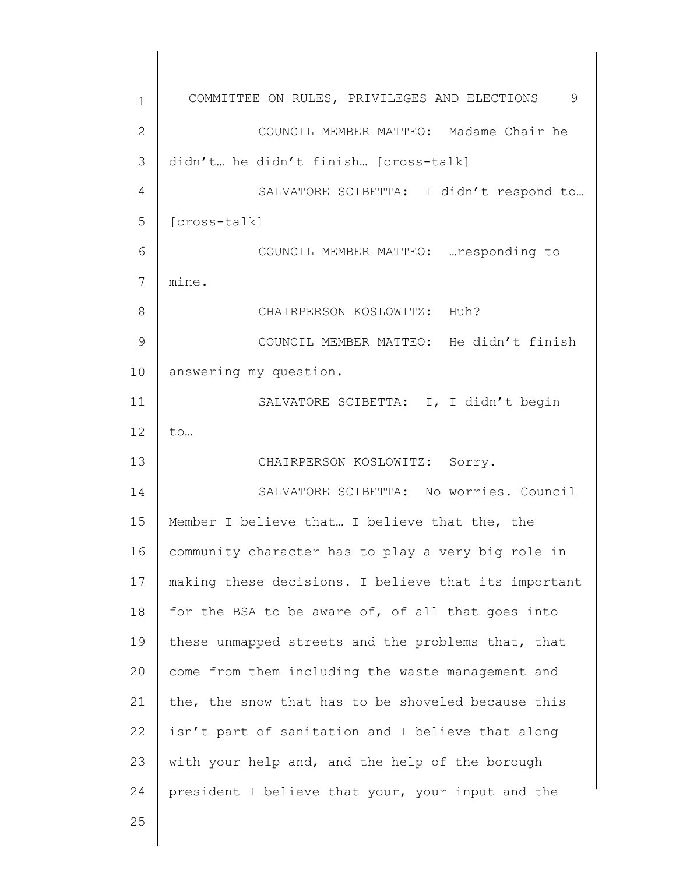| 1            | COMMITTEE ON RULES, PRIVILEGES AND ELECTIONS 9       |
|--------------|------------------------------------------------------|
| $\mathbf{2}$ | COUNCIL MEMBER MATTEO: Madame Chair he               |
| 3            | didn't he didn't finish [cross-talk]                 |
| 4            | SALVATORE SCIBETTA: I didn't respond to              |
| 5            | [cross-talk]                                         |
| 6            | COUNCIL MEMBER MATTEO:  responding to                |
| 7            | mine.                                                |
| 8            | CHAIRPERSON KOSLOWITZ: Huh?                          |
| 9            | COUNCIL MEMBER MATTEO: He didn't finish              |
| 10           | answering my question.                               |
| 11           | SALVATORE SCIBETTA: I, I didn't begin                |
| 12           | to                                                   |
| 13           | CHAIRPERSON KOSLOWITZ: Sorry.                        |
| 14           | SALVATORE SCIBETTA: No worries. Council              |
| 15           | Member I believe that I believe that the, the        |
| 16           | community character has to play a very big role in   |
| 17           | making these decisions. I believe that its important |
| 18           | for the BSA to be aware of, of all that goes into    |
| 19           | these unmapped streets and the problems that, that   |
| 20           | come from them including the waste management and    |
| 21           | the, the snow that has to be shoveled because this   |
| 22           | isn't part of sanitation and I believe that along    |
| 23           | with your help and, and the help of the borough      |
| 24           | president I believe that your, your input and the    |
| 25           |                                                      |
|              |                                                      |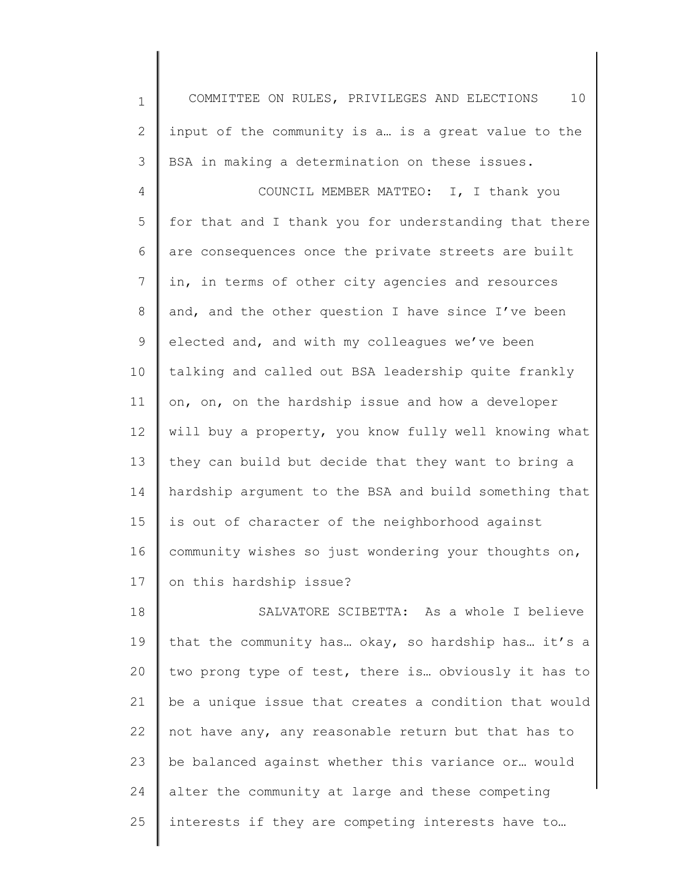1 2 3 4 5 6 7 8 9 10 11 12 13 14 15 16 17 COMMITTEE ON RULES, PRIVILEGES AND ELECTIONS 10 input of the community is a… is a great value to the BSA in making a determination on these issues. COUNCIL MEMBER MATTEO: I, I thank you for that and I thank you for understanding that there are consequences once the private streets are built in, in terms of other city agencies and resources and, and the other question I have since I've been elected and, and with my colleagues we've been talking and called out BSA leadership quite frankly on, on, on the hardship issue and how a developer will buy a property, you know fully well knowing what they can build but decide that they want to bring a hardship argument to the BSA and build something that is out of character of the neighborhood against community wishes so just wondering your thoughts on, on this hardship issue?

18 19 20 21 22 23 24 25 SALVATORE SCIBETTA: As a whole I believe that the community has… okay, so hardship has… it's a two prong type of test, there is… obviously it has to be a unique issue that creates a condition that would not have any, any reasonable return but that has to be balanced against whether this variance or… would alter the community at large and these competing interests if they are competing interests have to…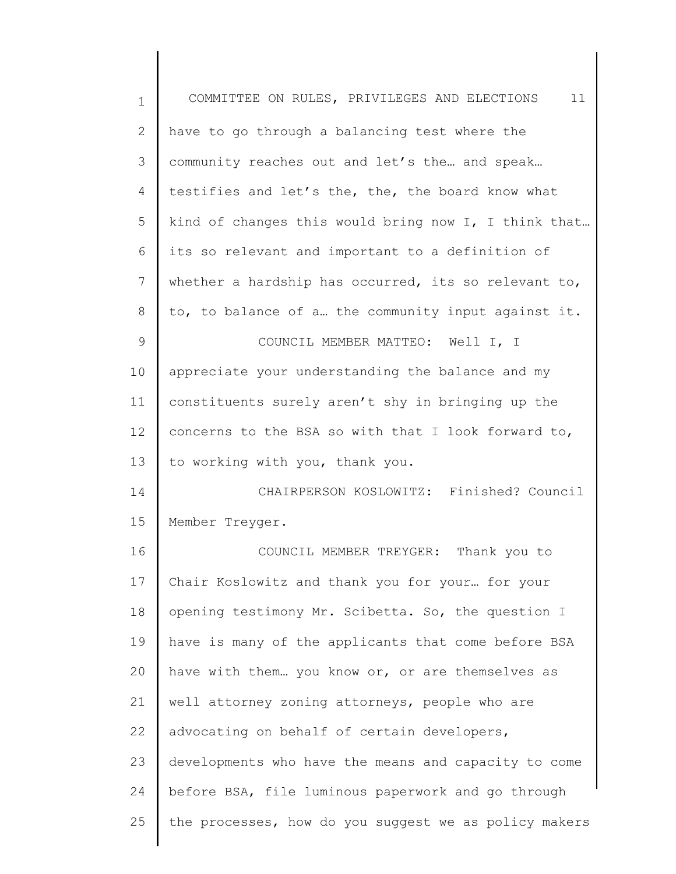| $\mathbf 1$ | 11<br>COMMITTEE ON RULES, PRIVILEGES AND ELECTIONS    |
|-------------|-------------------------------------------------------|
| 2           | have to go through a balancing test where the         |
| 3           | community reaches out and let's the and speak         |
| 4           | testifies and let's the, the, the board know what     |
| 5           | kind of changes this would bring now I, I think that  |
| 6           | its so relevant and important to a definition of      |
| 7           | whether a hardship has occurred, its so relevant to,  |
| 8           | to, to balance of a the community input against it.   |
| 9           | COUNCIL MEMBER MATTEO: Well I, I                      |
| 10          | appreciate your understanding the balance and my      |
| 11          | constituents surely aren't shy in bringing up the     |
| 12          | concerns to the BSA so with that I look forward to,   |
| 13          | to working with you, thank you.                       |
| 14          | CHAIRPERSON KOSLOWITZ: Finished? Council              |
| 15          | Member Treyger.                                       |
| 16          | COUNCIL MEMBER TREYGER: Thank you to                  |
| 17          | Chair Koslowitz and thank you for your for your       |
| 18          | opening testimony Mr. Scibetta. So, the question I    |
| 19          | have is many of the applicants that come before BSA   |
| 20          | have with them you know or, or are themselves as      |
| 21          | well attorney zoning attorneys, people who are        |
| 22          | advocating on behalf of certain developers,           |
| 23          | developments who have the means and capacity to come  |
| 24          | before BSA, file luminous paperwork and go through    |
| 25          | the processes, how do you suggest we as policy makers |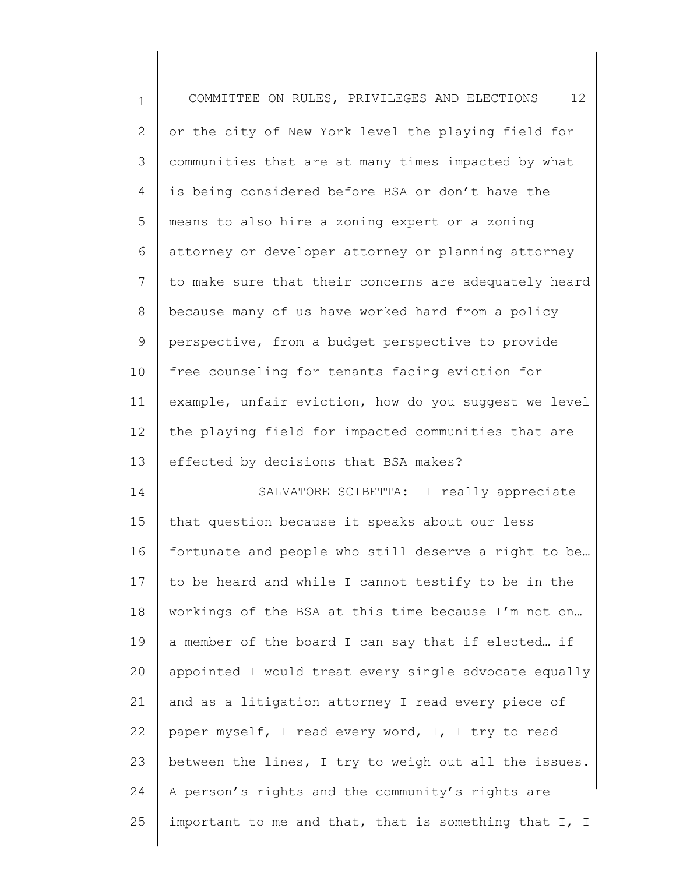| $\mathbf 1$    | 12<br>COMMITTEE ON RULES, PRIVILEGES AND ELECTIONS    |
|----------------|-------------------------------------------------------|
| $\mathbf{2}$   | or the city of New York level the playing field for   |
| 3              | communities that are at many times impacted by what   |
| 4              | is being considered before BSA or don't have the      |
| 5              | means to also hire a zoning expert or a zoning        |
| 6              | attorney or developer attorney or planning attorney   |
| $\overline{7}$ | to make sure that their concerns are adequately heard |
| 8              | because many of us have worked hard from a policy     |
| 9              | perspective, from a budget perspective to provide     |
| 10             | free counseling for tenants facing eviction for       |
| 11             | example, unfair eviction, how do you suggest we level |
| 12             | the playing field for impacted communities that are   |
| 13             | effected by decisions that BSA makes?                 |
| 14             | SALVATORE SCIBETTA: I really appreciate               |
| 15             | that question because it speaks about our less        |
| 16             | fortunate and people who still deserve a right to be  |
| 17             | to be heard and while I cannot testify to be in the   |
| 18             | workings of the BSA at this time because I'm not on   |
| 19             | a member of the board I can say that if elected if    |
| 20             | appointed I would treat every single advocate equally |
| 21             | and as a litigation attorney I read every piece of    |
| 22             | paper myself, I read every word, I, I try to read     |
| 23             | between the lines, I try to weigh out all the issues. |
| 24             | A person's rights and the community's rights are      |
| 25             | important to me and that, that is something that I, I |
|                |                                                       |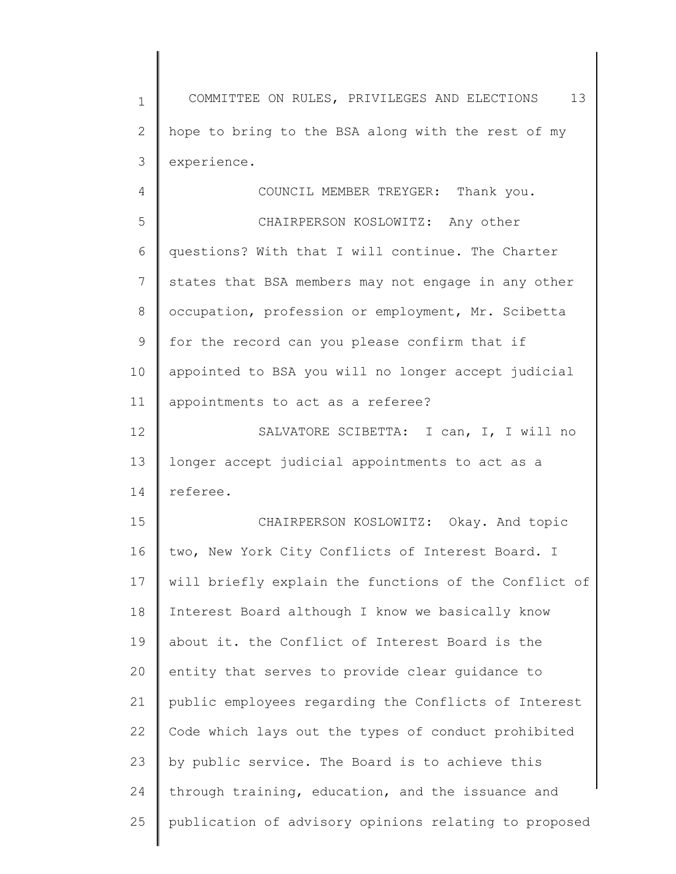1 2 3 COMMITTEE ON RULES, PRIVILEGES AND ELECTIONS 13 hope to bring to the BSA along with the rest of my experience.

4

COUNCIL MEMBER TREYGER: Thank you.

5 6 7 8 9 10 11 CHAIRPERSON KOSLOWITZ: Any other questions? With that I will continue. The Charter states that BSA members may not engage in any other occupation, profession or employment, Mr. Scibetta for the record can you please confirm that if appointed to BSA you will no longer accept judicial appointments to act as a referee?

12 13 14 SALVATORE SCIBETTA: I can, I, I will no longer accept judicial appointments to act as a referee.

15 16 17 18 19 20 21 22 23 24 25 CHAIRPERSON KOSLOWITZ: Okay. And topic two, New York City Conflicts of Interest Board. I will briefly explain the functions of the Conflict of Interest Board although I know we basically know about it. the Conflict of Interest Board is the entity that serves to provide clear guidance to public employees regarding the Conflicts of Interest Code which lays out the types of conduct prohibited by public service. The Board is to achieve this through training, education, and the issuance and publication of advisory opinions relating to proposed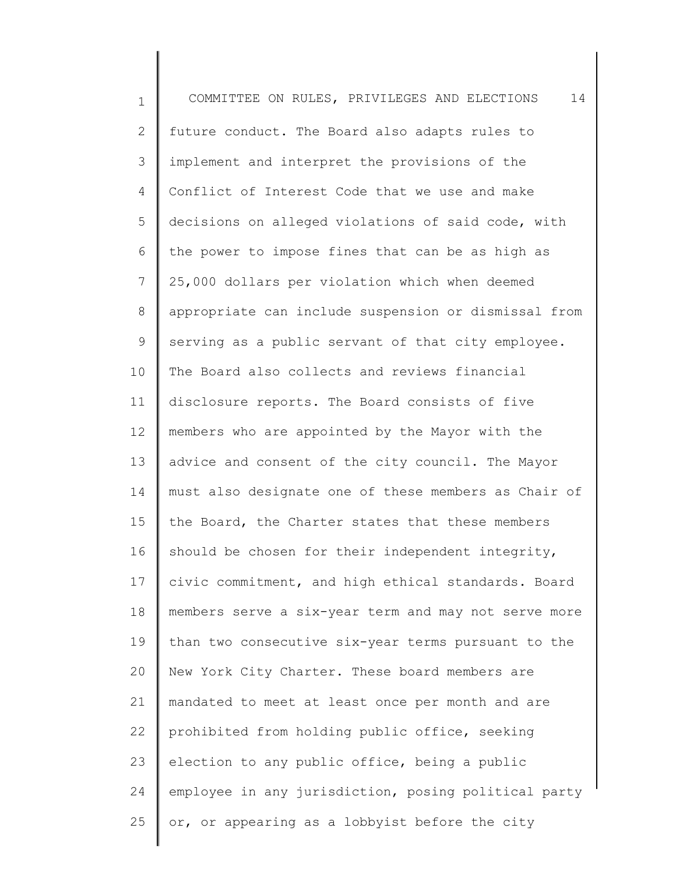1 2 3 4 5 6 7 8 9 10 11 12 13 14 15 16 17 18 19 20 21 22 23 24 25 COMMITTEE ON RULES, PRIVILEGES AND ELECTIONS 14 future conduct. The Board also adapts rules to implement and interpret the provisions of the Conflict of Interest Code that we use and make decisions on alleged violations of said code, with the power to impose fines that can be as high as 25,000 dollars per violation which when deemed appropriate can include suspension or dismissal from serving as a public servant of that city employee. The Board also collects and reviews financial disclosure reports. The Board consists of five members who are appointed by the Mayor with the advice and consent of the city council. The Mayor must also designate one of these members as Chair of the Board, the Charter states that these members should be chosen for their independent integrity, civic commitment, and high ethical standards. Board members serve a six-year term and may not serve more than two consecutive six-year terms pursuant to the New York City Charter. These board members are mandated to meet at least once per month and are prohibited from holding public office, seeking election to any public office, being a public employee in any jurisdiction, posing political party or, or appearing as a lobbyist before the city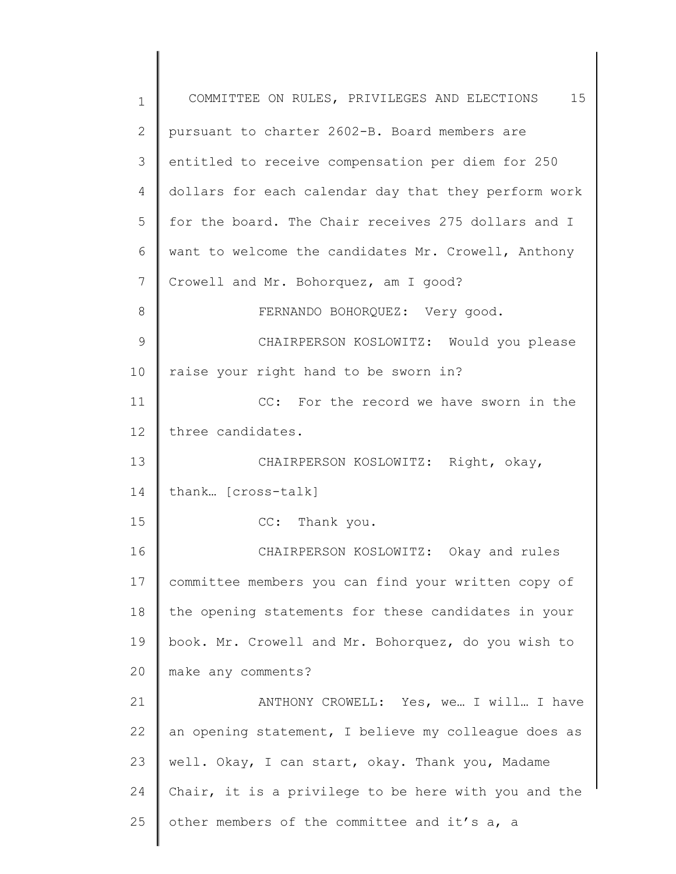| $\mathbf 1$     | COMMITTEE ON RULES, PRIVILEGES AND ELECTIONS 15      |
|-----------------|------------------------------------------------------|
| $\mathbf{2}$    | pursuant to charter 2602-B. Board members are        |
| 3               | entitled to receive compensation per diem for 250    |
| 4               | dollars for each calendar day that they perform work |
| 5               | for the board. The Chair receives 275 dollars and I  |
| 6               | want to welcome the candidates Mr. Crowell, Anthony  |
| $7\phantom{.0}$ | Crowell and Mr. Bohorquez, am I good?                |
| 8               | FERNANDO BOHORQUEZ: Very good.                       |
| 9               | CHAIRPERSON KOSLOWITZ: Would you please              |
| 10              | raise your right hand to be sworn in?                |
| 11              | CC: For the record we have sworn in the              |
| 12              | three candidates.                                    |
| 13              | CHAIRPERSON KOSLOWITZ: Right, okay,                  |
| 14              | thank [cross-talk]                                   |
| 15              | CC: Thank you.                                       |
| 16              | CHAIRPERSON KOSLOWITZ: Okay and rules                |
| 17              | committee members you can find your written copy of  |
| 18              | the opening statements for these candidates in your  |
| 19              | book. Mr. Crowell and Mr. Bohorquez, do you wish to  |
| 20              | make any comments?                                   |
| 21              | ANTHONY CROWELL: Yes, we I will I have               |
| 22              | an opening statement, I believe my colleague does as |
| 23              | well. Okay, I can start, okay. Thank you, Madame     |
| 24              | Chair, it is a privilege to be here with you and the |
| 25              | other members of the committee and it's a, a         |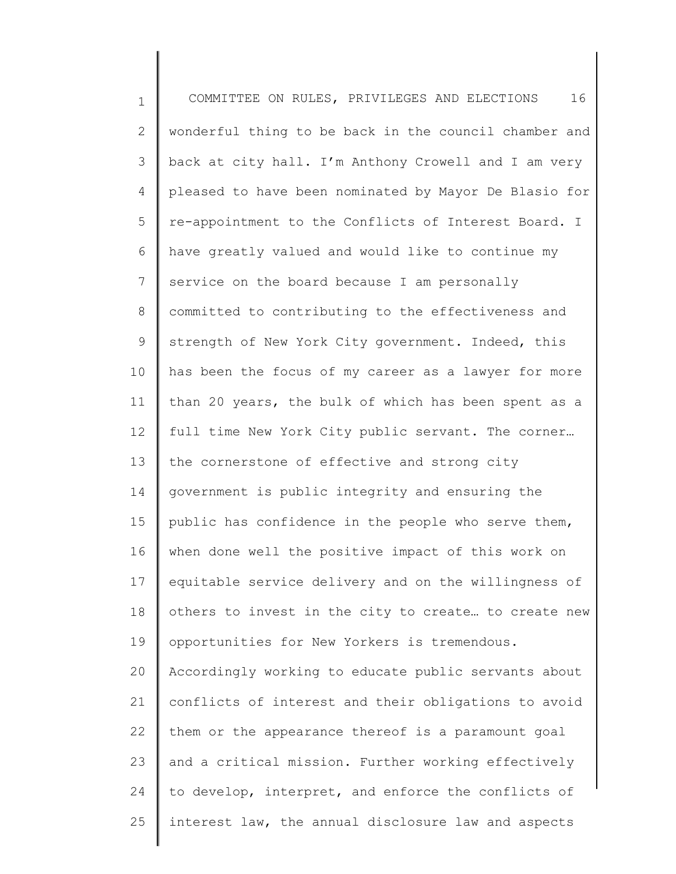1 2 3 4 5 6 7 8 9 10 11 12 13 14 15 16 17 18 19 20 21 22 23 24 25 COMMITTEE ON RULES, PRIVILEGES AND ELECTIONS 16 wonderful thing to be back in the council chamber and back at city hall. I'm Anthony Crowell and I am very pleased to have been nominated by Mayor De Blasio for re-appointment to the Conflicts of Interest Board. I have greatly valued and would like to continue my service on the board because I am personally committed to contributing to the effectiveness and strength of New York City government. Indeed, this has been the focus of my career as a lawyer for more than 20 years, the bulk of which has been spent as a full time New York City public servant. The corner… the cornerstone of effective and strong city government is public integrity and ensuring the public has confidence in the people who serve them, when done well the positive impact of this work on equitable service delivery and on the willingness of others to invest in the city to create… to create new opportunities for New Yorkers is tremendous. Accordingly working to educate public servants about conflicts of interest and their obligations to avoid them or the appearance thereof is a paramount goal and a critical mission. Further working effectively to develop, interpret, and enforce the conflicts of interest law, the annual disclosure law and aspects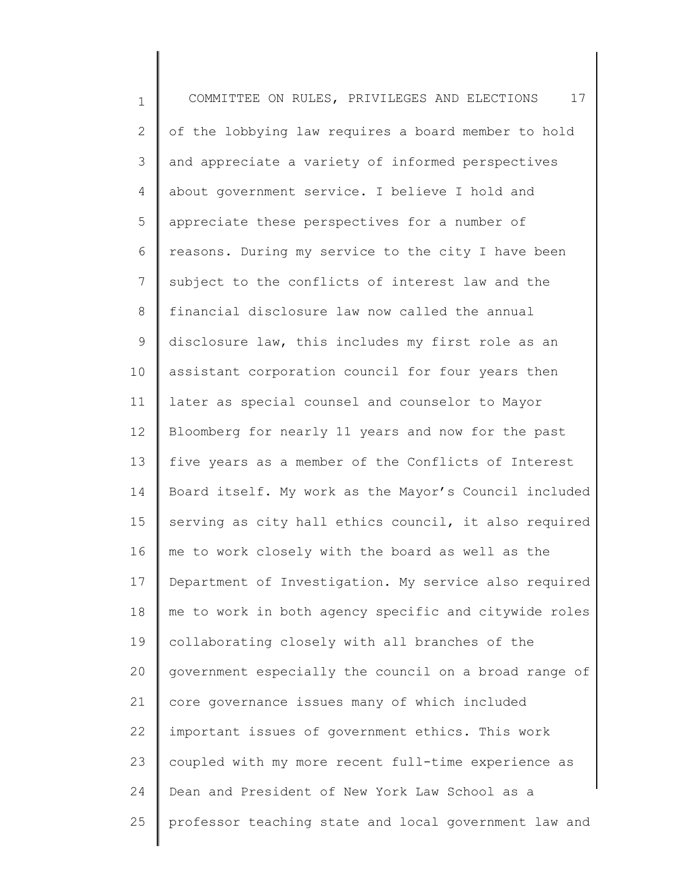1 2 3 4 5 6 7 8 9 10 11 12 13 14 15 16 17 18 19 20 21 22 23 24 25 COMMITTEE ON RULES, PRIVILEGES AND ELECTIONS 17 of the lobbying law requires a board member to hold and appreciate a variety of informed perspectives about government service. I believe I hold and appreciate these perspectives for a number of reasons. During my service to the city I have been subject to the conflicts of interest law and the financial disclosure law now called the annual disclosure law, this includes my first role as an assistant corporation council for four years then later as special counsel and counselor to Mayor Bloomberg for nearly 11 years and now for the past five years as a member of the Conflicts of Interest Board itself. My work as the Mayor's Council included serving as city hall ethics council, it also required me to work closely with the board as well as the Department of Investigation. My service also required me to work in both agency specific and citywide roles collaborating closely with all branches of the government especially the council on a broad range of core governance issues many of which included important issues of government ethics. This work coupled with my more recent full-time experience as Dean and President of New York Law School as a professor teaching state and local government law and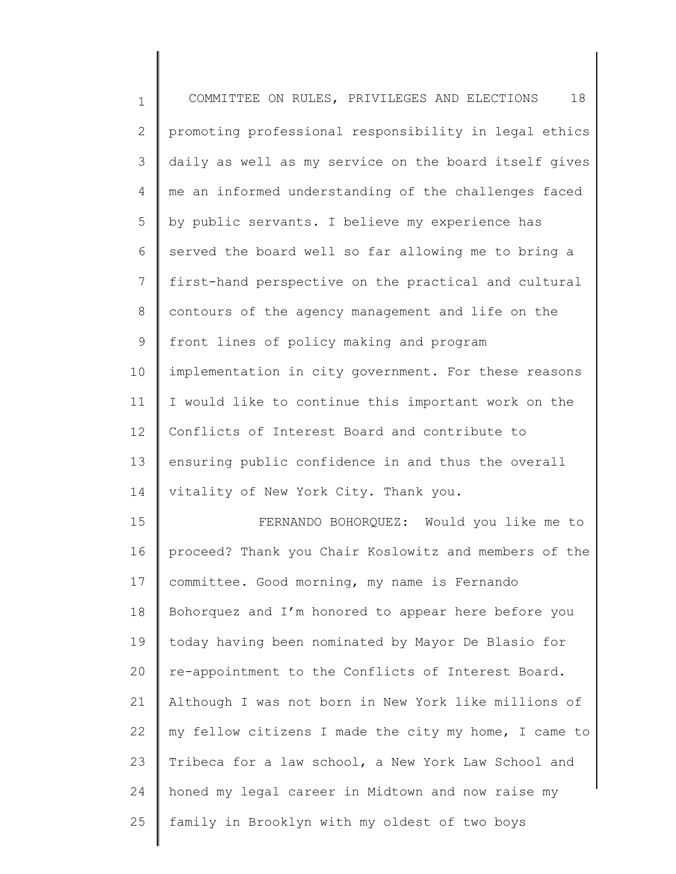| $\mathbf 1$  | 18<br>COMMITTEE ON RULES, PRIVILEGES AND ELECTIONS    |
|--------------|-------------------------------------------------------|
| $\mathbf{2}$ | promoting professional responsibility in legal ethics |
| 3            | daily as well as my service on the board itself gives |
| 4            | me an informed understanding of the challenges faced  |
| 5            | by public servants. I believe my experience has       |
| 6            | served the board well so far allowing me to bring a   |
| 7            | first-hand perspective on the practical and cultural  |
| 8            | contours of the agency management and life on the     |
| 9            | front lines of policy making and program              |
| 10           | implementation in city government. For these reasons  |
| 11           | I would like to continue this important work on the   |
| 12           | Conflicts of Interest Board and contribute to         |
| 13           | ensuring public confidence in and thus the overall    |
| 14           | vitality of New York City. Thank you.                 |
| 15           | FERNANDO BOHORQUEZ: Would you like me to              |
| 16           | proceed? Thank you Chair Koslowitz and members of the |
| 17           | committee. Good morning, my name is Fernando          |
| 18           | Bohorquez and I'm honored to appear here before you   |
| 19           | today having been nominated by Mayor De Blasio for    |
| 20           | re-appointment to the Conflicts of Interest Board.    |
| 21           | Although I was not born in New York like millions of  |
| 22           | my fellow citizens I made the city my home, I came to |
| 23           | Tribeca for a law school, a New York Law School and   |
| 24           | honed my legal career in Midtown and now raise my     |
| 25           | family in Brooklyn with my oldest of two boys         |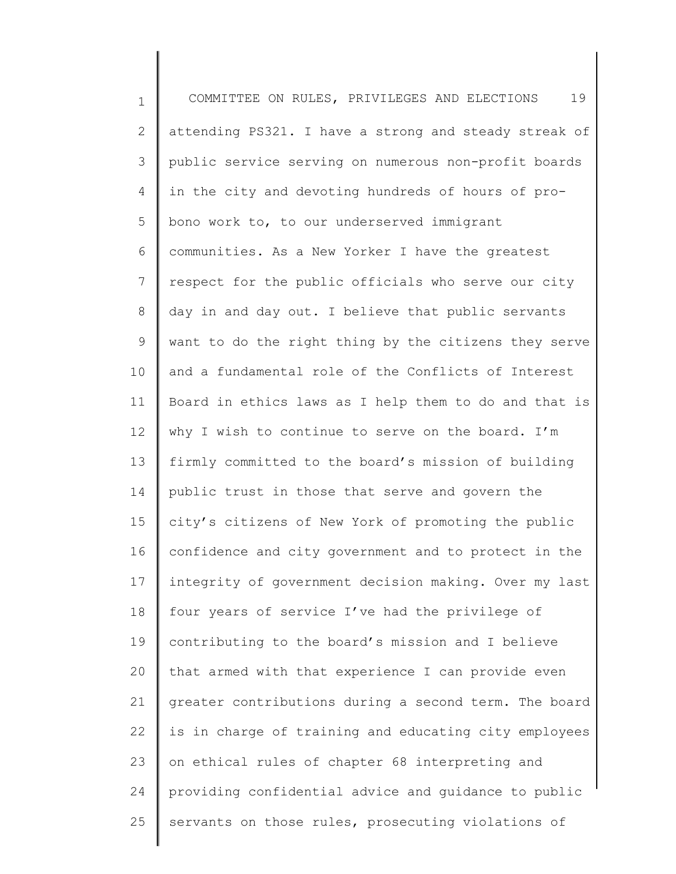1 2 3 4 5 6 7 8 9 10 11 12 13 14 15 16 17 18 19 20 21 22 23 24 25 COMMITTEE ON RULES, PRIVILEGES AND ELECTIONS 19 attending PS321. I have a strong and steady streak of public service serving on numerous non-profit boards in the city and devoting hundreds of hours of probono work to, to our underserved immigrant communities. As a New Yorker I have the greatest respect for the public officials who serve our city day in and day out. I believe that public servants want to do the right thing by the citizens they serve and a fundamental role of the Conflicts of Interest Board in ethics laws as I help them to do and that is why I wish to continue to serve on the board. I'm firmly committed to the board's mission of building public trust in those that serve and govern the city's citizens of New York of promoting the public confidence and city government and to protect in the integrity of government decision making. Over my last four years of service I've had the privilege of contributing to the board's mission and I believe that armed with that experience I can provide even greater contributions during a second term. The board is in charge of training and educating city employees on ethical rules of chapter 68 interpreting and providing confidential advice and guidance to public servants on those rules, prosecuting violations of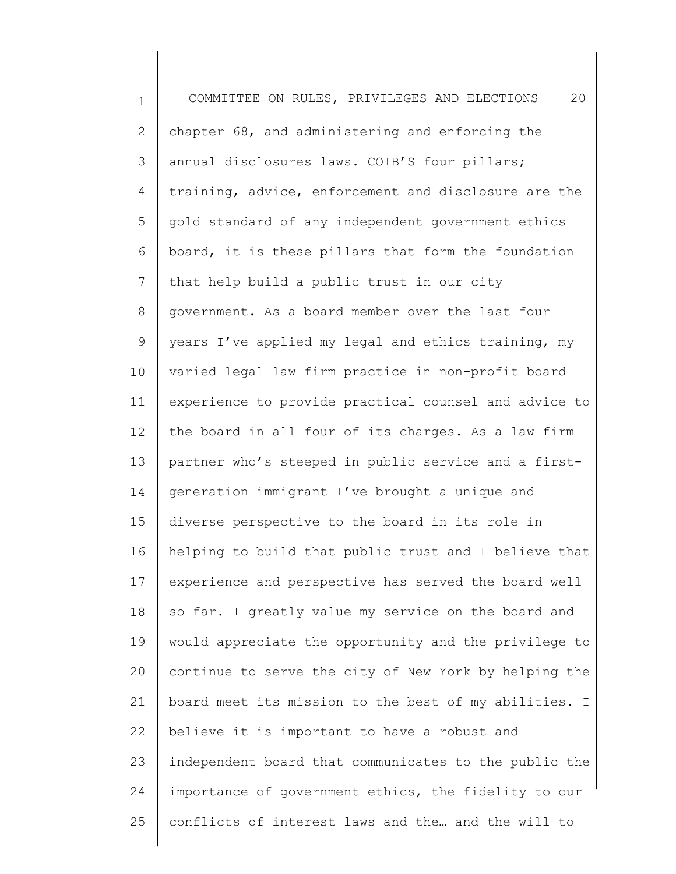1 2 3 4 5 6 7 8 9 10 11 12 13 14 15 16 17 18 19 20 21 22 23 24 25 COMMITTEE ON RULES, PRIVILEGES AND ELECTIONS 20 chapter 68, and administering and enforcing the annual disclosures laws. COIB'S four pillars; training, advice, enforcement and disclosure are the gold standard of any independent government ethics board, it is these pillars that form the foundation that help build a public trust in our city government. As a board member over the last four years I've applied my legal and ethics training, my varied legal law firm practice in non-profit board experience to provide practical counsel and advice to the board in all four of its charges. As a law firm partner who's steeped in public service and a firstgeneration immigrant I've brought a unique and diverse perspective to the board in its role in helping to build that public trust and I believe that experience and perspective has served the board well so far. I greatly value my service on the board and would appreciate the opportunity and the privilege to continue to serve the city of New York by helping the board meet its mission to the best of my abilities. I believe it is important to have a robust and independent board that communicates to the public the importance of government ethics, the fidelity to our conflicts of interest laws and the… and the will to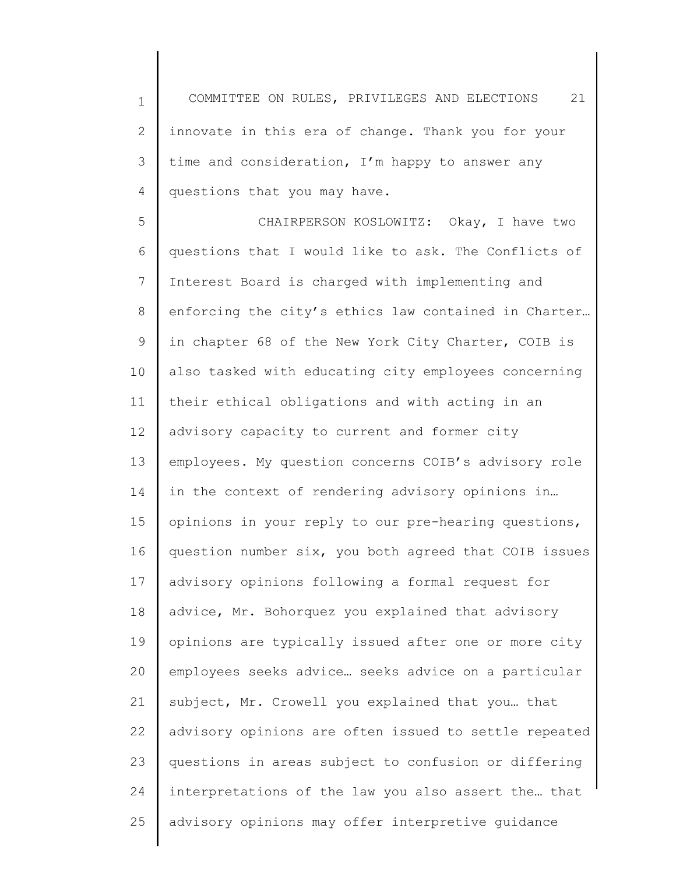1 2 3 4 COMMITTEE ON RULES, PRIVILEGES AND ELECTIONS 21 innovate in this era of change. Thank you for your time and consideration, I'm happy to answer any questions that you may have.

5 6 7 8 9 10 11 12 13 14 15 16 17 18 19 20 21 22 23 24 25 CHAIRPERSON KOSLOWITZ: Okay, I have two questions that I would like to ask. The Conflicts of Interest Board is charged with implementing and enforcing the city's ethics law contained in Charter… in chapter 68 of the New York City Charter, COIB is also tasked with educating city employees concerning their ethical obligations and with acting in an advisory capacity to current and former city employees. My question concerns COIB's advisory role in the context of rendering advisory opinions in… opinions in your reply to our pre-hearing questions, question number six, you both agreed that COIB issues advisory opinions following a formal request for advice, Mr. Bohorquez you explained that advisory opinions are typically issued after one or more city employees seeks advice… seeks advice on a particular subject, Mr. Crowell you explained that you… that advisory opinions are often issued to settle repeated questions in areas subject to confusion or differing interpretations of the law you also assert the… that advisory opinions may offer interpretive guidance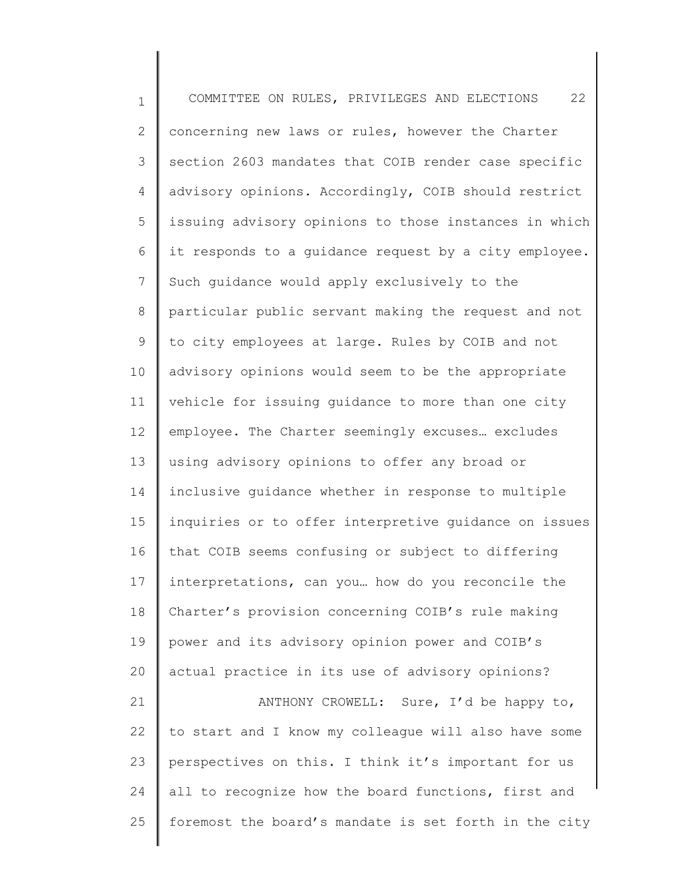1 2 3 4 5 6 7 8 9 10 11 12 13 14 15 16 17 18 19 20 21 22 23 24 25 COMMITTEE ON RULES, PRIVILEGES AND ELECTIONS 22 concerning new laws or rules, however the Charter section 2603 mandates that COIB render case specific advisory opinions. Accordingly, COIB should restrict issuing advisory opinions to those instances in which it responds to a guidance request by a city employee. Such guidance would apply exclusively to the particular public servant making the request and not to city employees at large. Rules by COIB and not advisory opinions would seem to be the appropriate vehicle for issuing guidance to more than one city employee. The Charter seemingly excuses… excludes using advisory opinions to offer any broad or inclusive guidance whether in response to multiple inquiries or to offer interpretive guidance on issues that COIB seems confusing or subject to differing interpretations, can you… how do you reconcile the Charter's provision concerning COIB's rule making power and its advisory opinion power and COIB's actual practice in its use of advisory opinions? ANTHONY CROWELL: Sure, I'd be happy to, to start and I know my colleague will also have some perspectives on this. I think it's important for us all to recognize how the board functions, first and foremost the board's mandate is set forth in the city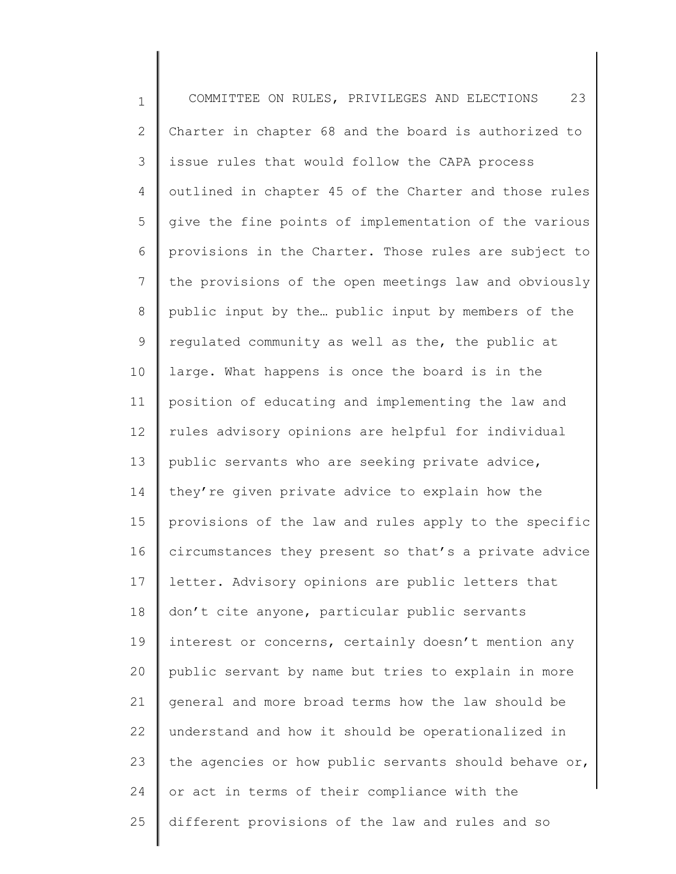1 2 3 4 5 6 7 8 9 10 11 12 13 14 15 16 17 18 19 20 21 22 23 24 25 COMMITTEE ON RULES, PRIVILEGES AND ELECTIONS 23 Charter in chapter 68 and the board is authorized to issue rules that would follow the CAPA process outlined in chapter 45 of the Charter and those rules give the fine points of implementation of the various provisions in the Charter. Those rules are subject to the provisions of the open meetings law and obviously public input by the… public input by members of the regulated community as well as the, the public at large. What happens is once the board is in the position of educating and implementing the law and rules advisory opinions are helpful for individual public servants who are seeking private advice, they're given private advice to explain how the provisions of the law and rules apply to the specific circumstances they present so that's a private advice letter. Advisory opinions are public letters that don't cite anyone, particular public servants interest or concerns, certainly doesn't mention any public servant by name but tries to explain in more general and more broad terms how the law should be understand and how it should be operationalized in the agencies or how public servants should behave or, or act in terms of their compliance with the different provisions of the law and rules and so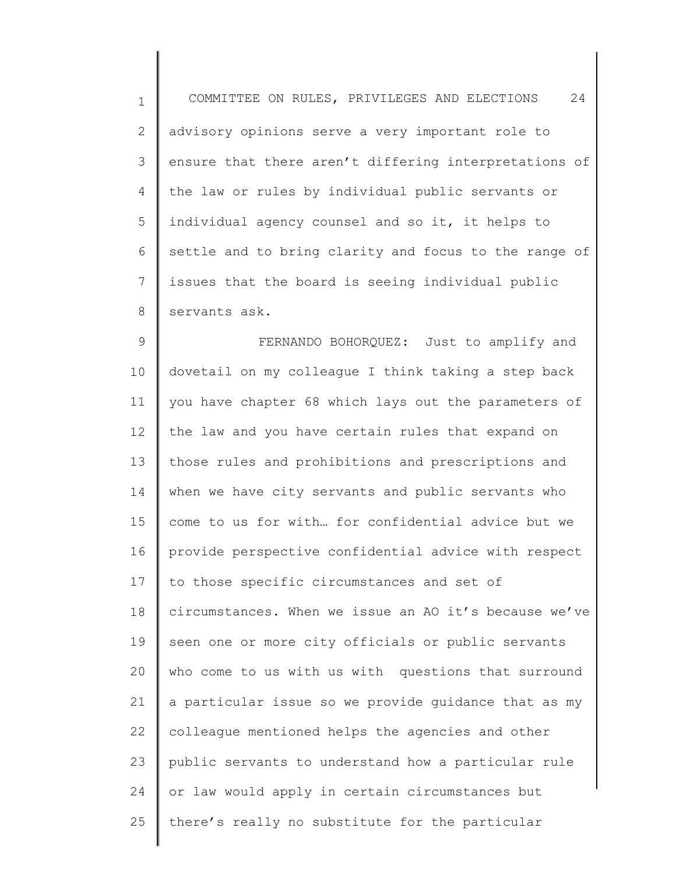1 2 3 4 5 6 7 8 COMMITTEE ON RULES, PRIVILEGES AND ELECTIONS 24 advisory opinions serve a very important role to ensure that there aren't differing interpretations of the law or rules by individual public servants or individual agency counsel and so it, it helps to settle and to bring clarity and focus to the range of issues that the board is seeing individual public servants ask.

9 10 11 12 13 14 15 16 17 18 19 20 21 22 23 24 25 FERNANDO BOHORQUEZ: Just to amplify and dovetail on my colleague I think taking a step back you have chapter 68 which lays out the parameters of the law and you have certain rules that expand on those rules and prohibitions and prescriptions and when we have city servants and public servants who come to us for with… for confidential advice but we provide perspective confidential advice with respect to those specific circumstances and set of circumstances. When we issue an AO it's because we've seen one or more city officials or public servants who come to us with us with questions that surround a particular issue so we provide guidance that as my colleague mentioned helps the agencies and other public servants to understand how a particular rule or law would apply in certain circumstances but there's really no substitute for the particular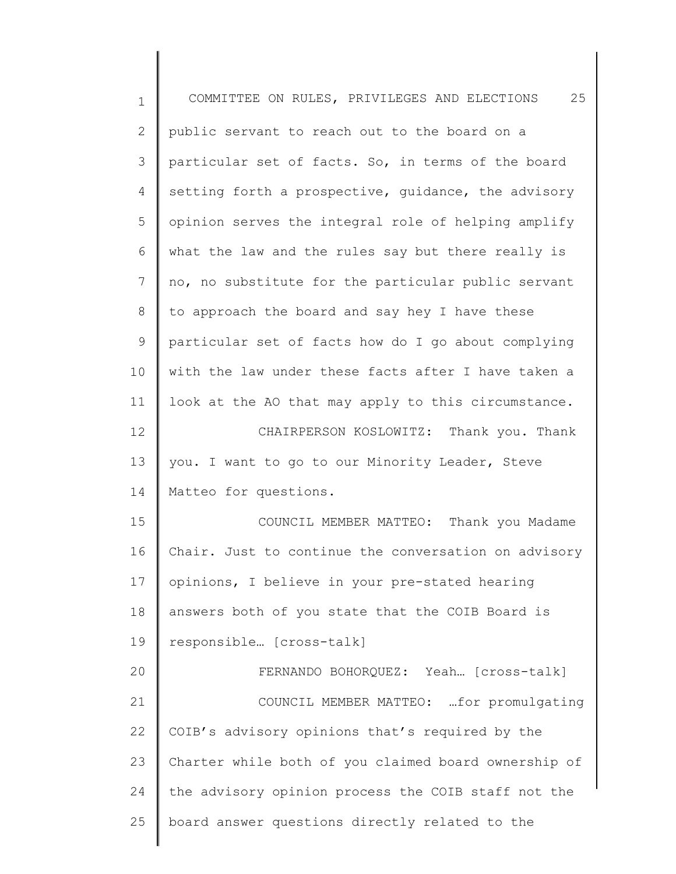| $\mathbf 1$  | 25<br>COMMITTEE ON RULES, PRIVILEGES AND ELECTIONS   |
|--------------|------------------------------------------------------|
| $\mathbf{2}$ | public servant to reach out to the board on a        |
| 3            | particular set of facts. So, in terms of the board   |
| 4            | setting forth a prospective, guidance, the advisory  |
| 5            | opinion serves the integral role of helping amplify  |
| 6            | what the law and the rules say but there really is   |
| 7            | no, no substitute for the particular public servant  |
| 8            | to approach the board and say hey I have these       |
| $\mathsf 9$  | particular set of facts how do I go about complying  |
| 10           | with the law under these facts after I have taken a  |
| 11           | look at the AO that may apply to this circumstance.  |
| 12           | CHAIRPERSON KOSLOWITZ: Thank you. Thank              |
| 13           | you. I want to go to our Minority Leader, Steve      |
| 14           | Matteo for questions.                                |
| 15           | COUNCIL MEMBER MATTEO: Thank you Madame              |
| 16           | Chair. Just to continue the conversation on advisory |
| 17           | opinions, I believe in your pre-stated hearing       |
| 18           | answers both of you state that the COIB Board is     |
| 19           | responsible [cross-talk]                             |
| 20           | FERNANDO BOHORQUEZ: Yeah [cross-talk]                |
| 21           | COUNCIL MEMBER MATTEO:  for promulgating             |
| 22           | COIB's advisory opinions that's required by the      |
| 23           | Charter while both of you claimed board ownership of |
| 24           | the advisory opinion process the COIB staff not the  |
| 25           | board answer questions directly related to the       |
|              |                                                      |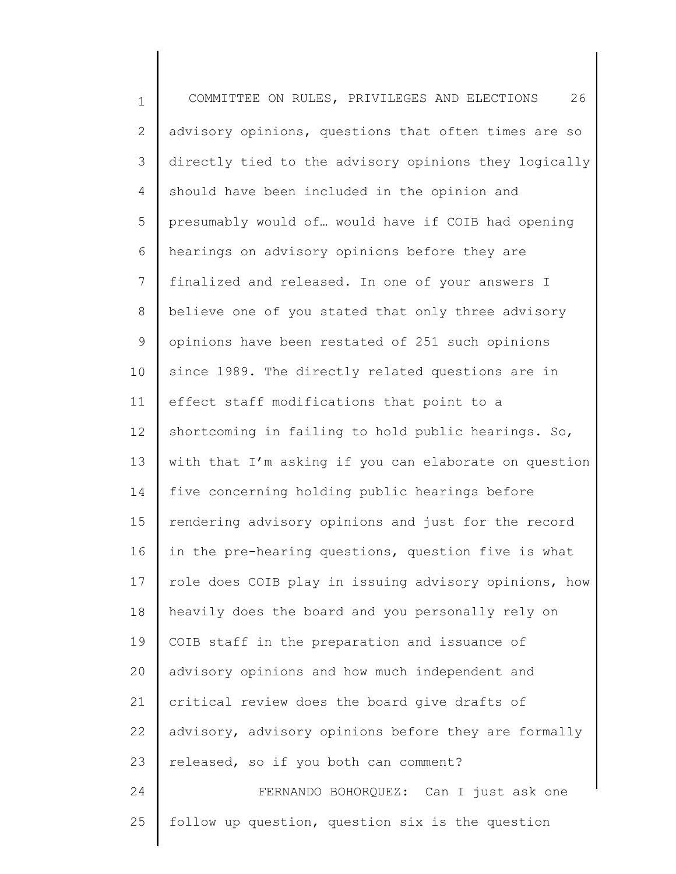1 2 3 4 5 6 7 8 9 10 11 12 13 14 15 16 17 18 19 20 21 22 23 24 25 COMMITTEE ON RULES, PRIVILEGES AND ELECTIONS 26 advisory opinions, questions that often times are so directly tied to the advisory opinions they logically should have been included in the opinion and presumably would of… would have if COIB had opening hearings on advisory opinions before they are finalized and released. In one of your answers I believe one of you stated that only three advisory opinions have been restated of 251 such opinions since 1989. The directly related questions are in effect staff modifications that point to a shortcoming in failing to hold public hearings. So, with that I'm asking if you can elaborate on question five concerning holding public hearings before rendering advisory opinions and just for the record in the pre-hearing questions, question five is what role does COIB play in issuing advisory opinions, how heavily does the board and you personally rely on COIB staff in the preparation and issuance of advisory opinions and how much independent and critical review does the board give drafts of advisory, advisory opinions before they are formally released, so if you both can comment? FERNANDO BOHORQUEZ: Can I just ask one follow up question, question six is the question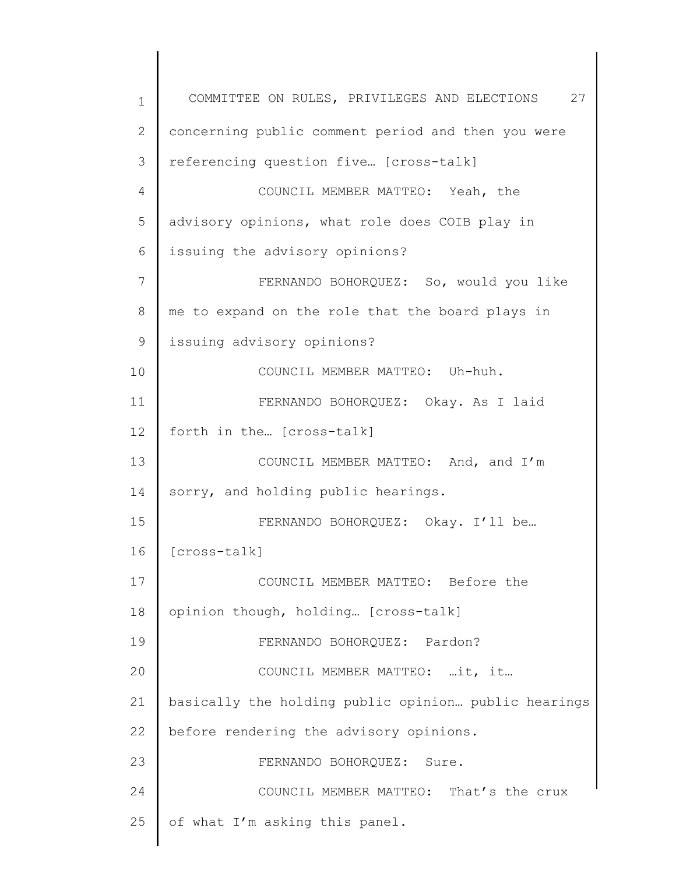1 2 3 4 5 6 7 8 9 10 11 12 13 14 15 16 17 18 19 20 21 22 23 24 25 COMMITTEE ON RULES, PRIVILEGES AND ELECTIONS 27 concerning public comment period and then you were referencing question five… [cross-talk] COUNCIL MEMBER MATTEO: Yeah, the advisory opinions, what role does COIB play in issuing the advisory opinions? FERNANDO BOHORQUEZ: So, would you like me to expand on the role that the board plays in issuing advisory opinions? COUNCIL MEMBER MATTEO: Uh-huh. FERNANDO BOHORQUEZ: Okay. As I laid forth in the… [cross-talk] COUNCIL MEMBER MATTEO: And, and I'm sorry, and holding public hearings. FERNANDO BOHORQUEZ: Okay. I'll be… [cross-talk] COUNCIL MEMBER MATTEO: Before the opinion though, holding… [cross-talk] FERNANDO BOHORQUEZ: Pardon? COUNCIL MEMBER MATTEO: …it, it… basically the holding public opinion… public hearings before rendering the advisory opinions. FERNANDO BOHORQUEZ: Sure. COUNCIL MEMBER MATTEO: That's the crux of what I'm asking this panel.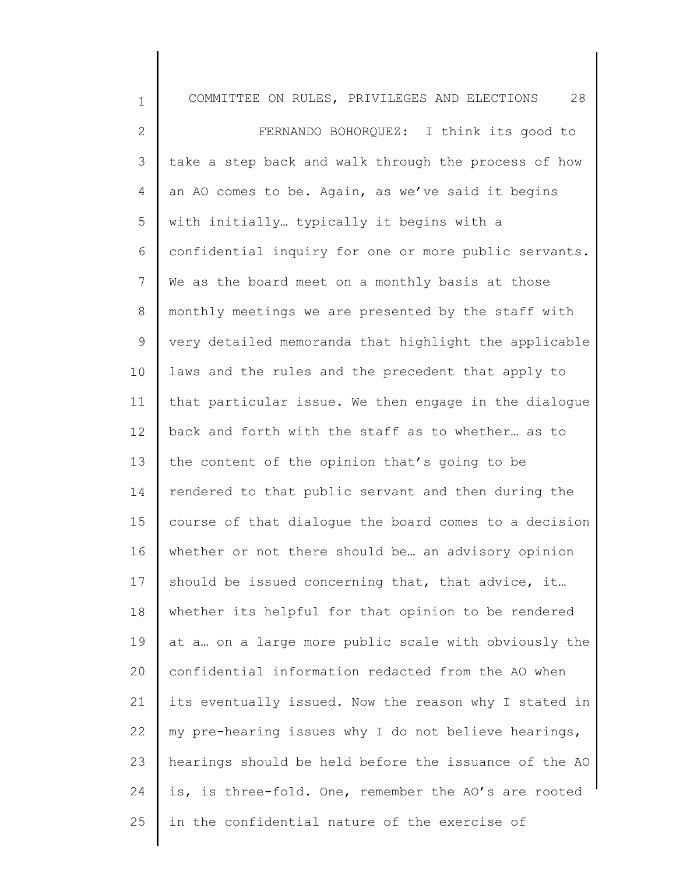| $\mathbf 1$  | 28<br>COMMITTEE ON RULES, PRIVILEGES AND ELECTIONS    |
|--------------|-------------------------------------------------------|
| $\mathbf{2}$ | FERNANDO BOHORQUEZ: I think its good to               |
| 3            | take a step back and walk through the process of how  |
| 4            | an AO comes to be. Again, as we've said it begins     |
| 5            | with initially typically it begins with a             |
| 6            | confidential inquiry for one or more public servants. |
| 7            | We as the board meet on a monthly basis at those      |
| $8\,$        | monthly meetings we are presented by the staff with   |
| $\mathsf 9$  | very detailed memoranda that highlight the applicable |
| 10           | laws and the rules and the precedent that apply to    |
| 11           | that particular issue. We then engage in the dialogue |
| 12           | back and forth with the staff as to whether as to     |
| 13           | the content of the opinion that's going to be         |
| 14           | rendered to that public servant and then during the   |
| 15           | course of that dialogue the board comes to a decision |
| 16           | whether or not there should be an advisory opinion    |
| 17           | should be issued concerning that, that advice, it     |
| 18           | whether its helpful for that opinion to be rendered   |
| 19           | at a on a large more public scale with obviously the  |
| 20           | confidential information redacted from the AO when    |
| 21           | its eventually issued. Now the reason why I stated in |
| 22           | my pre-hearing issues why I do not believe hearings,  |
| 23           | hearings should be held before the issuance of the AO |
| 24           | is, is three-fold. One, remember the AO's are rooted  |
| 25           | in the confidential nature of the exercise of         |
|              |                                                       |

║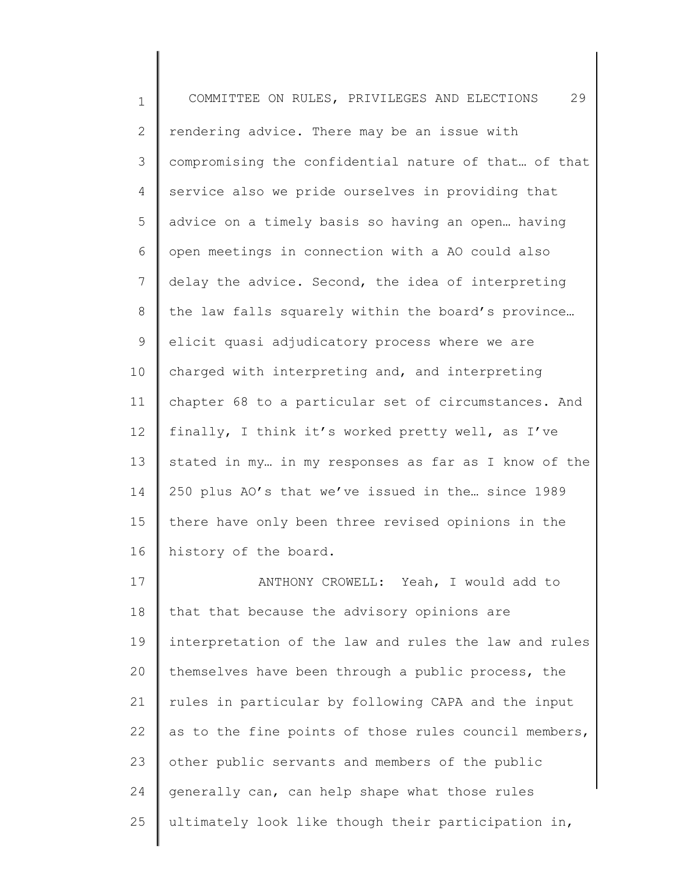1 2 3 4 5 6 7 8 9 10 11 12 13 14 15 16 17 18 19 20 21 22 23 24 25 COMMITTEE ON RULES, PRIVILEGES AND ELECTIONS 29 rendering advice. There may be an issue with compromising the confidential nature of that… of that service also we pride ourselves in providing that advice on a timely basis so having an open… having open meetings in connection with a AO could also delay the advice. Second, the idea of interpreting the law falls squarely within the board's province… elicit quasi adjudicatory process where we are charged with interpreting and, and interpreting chapter 68 to a particular set of circumstances. And finally, I think it's worked pretty well, as I've stated in my… in my responses as far as I know of the 250 plus AO's that we've issued in the… since 1989 there have only been three revised opinions in the history of the board. ANTHONY CROWELL: Yeah, I would add to that that because the advisory opinions are interpretation of the law and rules the law and rules themselves have been through a public process, the rules in particular by following CAPA and the input as to the fine points of those rules council members, other public servants and members of the public generally can, can help shape what those rules ultimately look like though their participation in,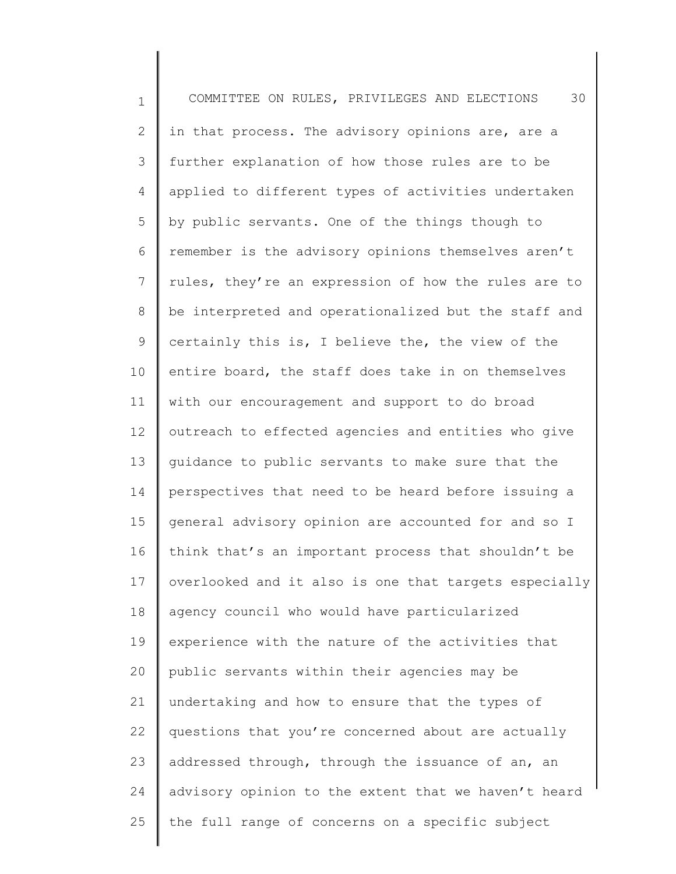1 2 3 4 5 6 7 8 9 10 11 12 13 14 15 16 17 18 19 20 21 22 23 24 25 COMMITTEE ON RULES, PRIVILEGES AND ELECTIONS 30 in that process. The advisory opinions are, are a further explanation of how those rules are to be applied to different types of activities undertaken by public servants. One of the things though to remember is the advisory opinions themselves aren't rules, they're an expression of how the rules are to be interpreted and operationalized but the staff and certainly this is, I believe the, the view of the entire board, the staff does take in on themselves with our encouragement and support to do broad outreach to effected agencies and entities who give guidance to public servants to make sure that the perspectives that need to be heard before issuing a general advisory opinion are accounted for and so I think that's an important process that shouldn't be overlooked and it also is one that targets especially agency council who would have particularized experience with the nature of the activities that public servants within their agencies may be undertaking and how to ensure that the types of questions that you're concerned about are actually addressed through, through the issuance of an, an advisory opinion to the extent that we haven't heard the full range of concerns on a specific subject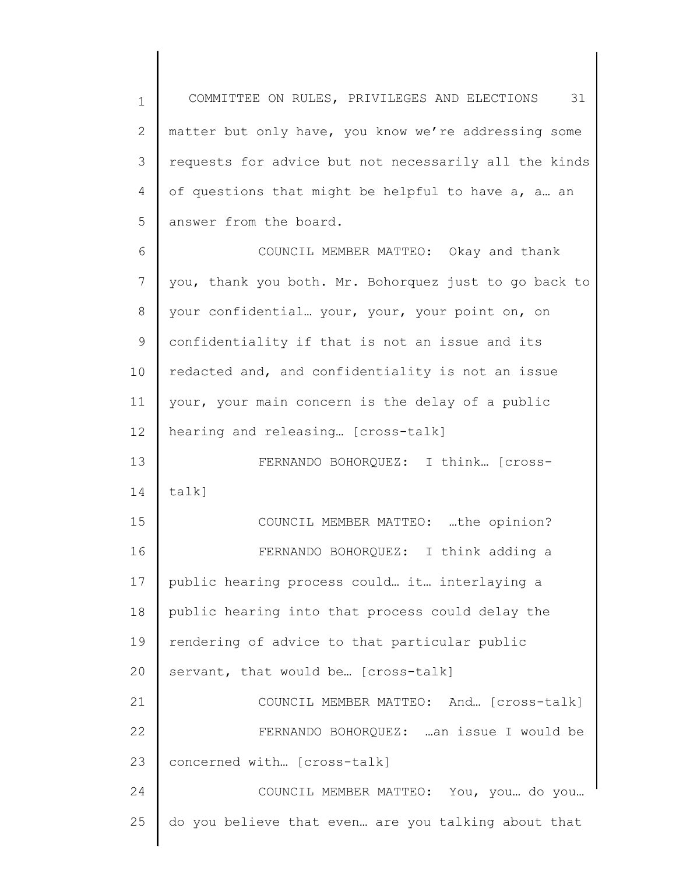1 2 3 4 5 COMMITTEE ON RULES, PRIVILEGES AND ELECTIONS 31 matter but only have, you know we're addressing some requests for advice but not necessarily all the kinds of questions that might be helpful to have a, a… an answer from the board.

6 7 8 9 10 11 12 13 COUNCIL MEMBER MATTEO: Okay and thank you, thank you both. Mr. Bohorquez just to go back to your confidential… your, your, your point on, on confidentiality if that is not an issue and its redacted and, and confidentiality is not an issue your, your main concern is the delay of a public hearing and releasing… [cross-talk] FERNANDO BOHORQUEZ: I think… [cross-

14 talk]

15 16 17 18 19 20 COUNCIL MEMBER MATTEO: …the opinion? FERNANDO BOHORQUEZ: I think adding a public hearing process could… it… interlaying a public hearing into that process could delay the rendering of advice to that particular public servant, that would be… [cross-talk]

21 22 23 COUNCIL MEMBER MATTEO: And… [cross-talk] FERNANDO BOHORQUEZ: …an issue I would be concerned with… [cross-talk]

24 25 COUNCIL MEMBER MATTEO: You, you… do you… do you believe that even… are you talking about that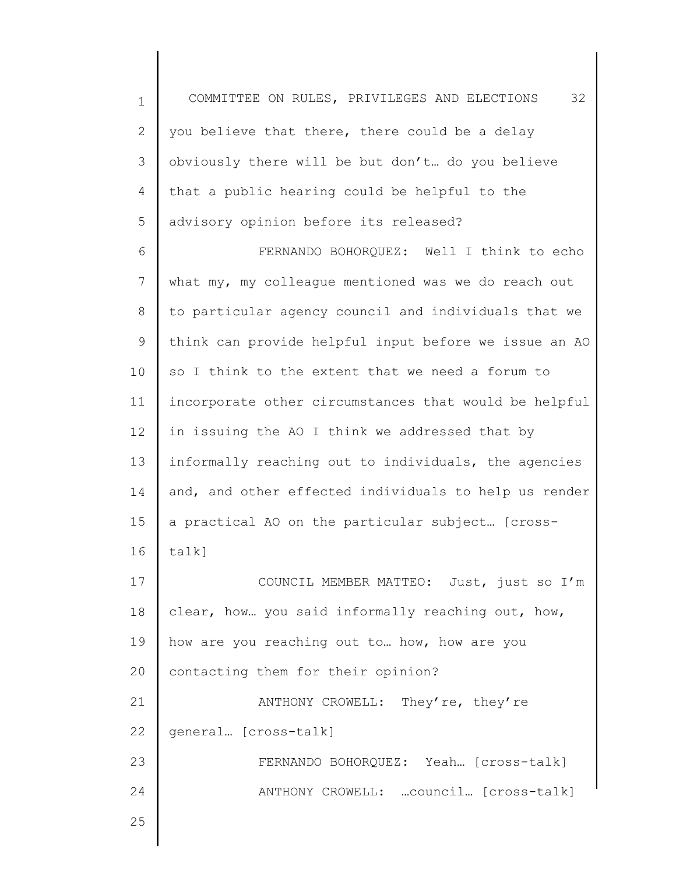1 2 3 4 5 6 7 8 9 10 11 12 13 14 15 16 17 18 COMMITTEE ON RULES, PRIVILEGES AND ELECTIONS 32 you believe that there, there could be a delay obviously there will be but don't… do you believe that a public hearing could be helpful to the advisory opinion before its released? FERNANDO BOHORQUEZ: Well I think to echo what my, my colleague mentioned was we do reach out to particular agency council and individuals that we think can provide helpful input before we issue an AO so I think to the extent that we need a forum to incorporate other circumstances that would be helpful in issuing the AO I think we addressed that by informally reaching out to individuals, the agencies and, and other effected individuals to help us render a practical AO on the particular subject… [crosstalk] COUNCIL MEMBER MATTEO: Just, just so I'm clear, how… you said informally reaching out, how,

20 how are you reaching out to… how, how are you contacting them for their opinion?

21 22 ANTHONY CROWELL: They're, they're general… [cross-talk]

> FERNANDO BOHORQUEZ: Yeah… [cross-talk] ANTHONY CROWELL: …council… [cross-talk]

25

23

24

19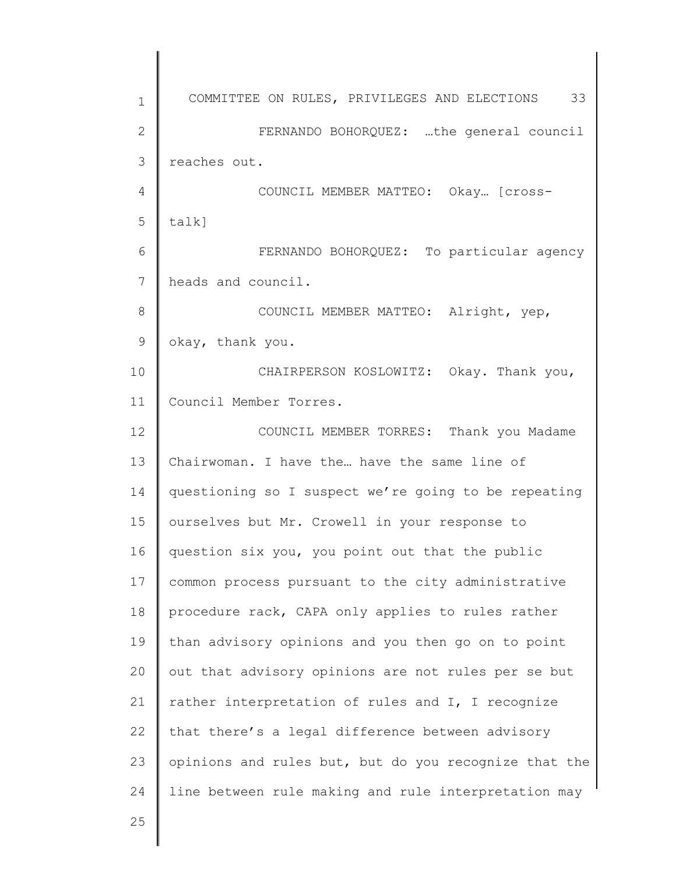1 2 3 4 5 6 7 8 9 10 11 12 13 14 15 16 17 18 19 20 21 22 23 24 25 COMMITTEE ON RULES, PRIVILEGES AND ELECTIONS 33 FERNANDO BOHORQUEZ: …the general council reaches out. COUNCIL MEMBER MATTEO: Okay… [crosstalk] FERNANDO BOHORQUEZ: To particular agency heads and council. COUNCIL MEMBER MATTEO: Alright, yep, okay, thank you. CHAIRPERSON KOSLOWITZ: Okay. Thank you, Council Member Torres. COUNCIL MEMBER TORRES: Thank you Madame Chairwoman. I have the… have the same line of questioning so I suspect we're going to be repeating ourselves but Mr. Crowell in your response to question six you, you point out that the public common process pursuant to the city administrative procedure rack, CAPA only applies to rules rather than advisory opinions and you then go on to point out that advisory opinions are not rules per se but rather interpretation of rules and I, I recognize that there's a legal difference between advisory opinions and rules but, but do you recognize that the line between rule making and rule interpretation may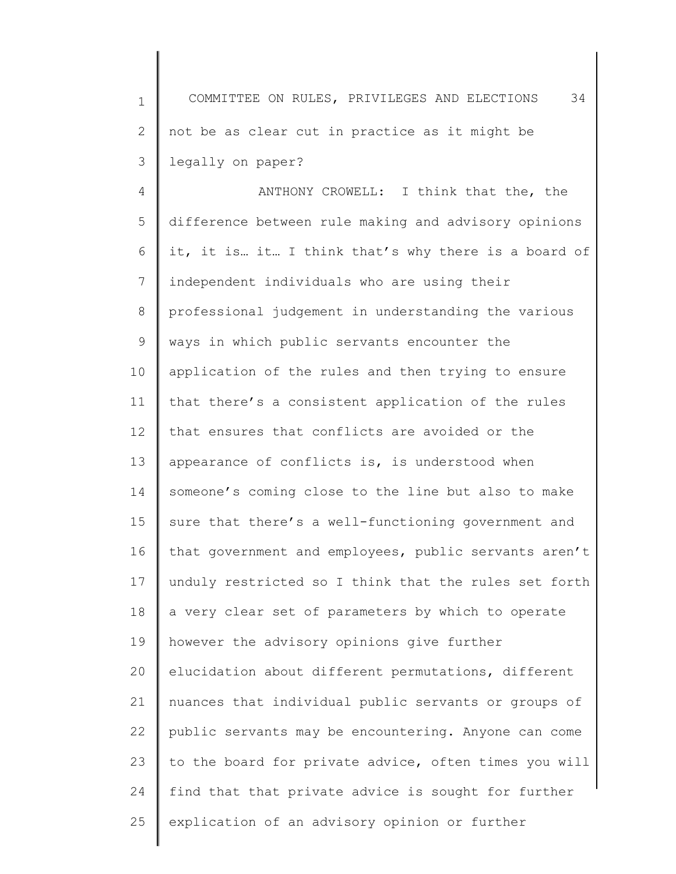1 2 3 COMMITTEE ON RULES, PRIVILEGES AND ELECTIONS 34 not be as clear cut in practice as it might be legally on paper?

4 5 6 7 8 9 10 11 12 13 14 15 16 17 18 19 20 21 22 23 24 25 ANTHONY CROWELL: I think that the, the difference between rule making and advisory opinions it, it is… it… I think that's why there is a board of independent individuals who are using their professional judgement in understanding the various ways in which public servants encounter the application of the rules and then trying to ensure that there's a consistent application of the rules that ensures that conflicts are avoided or the appearance of conflicts is, is understood when someone's coming close to the line but also to make sure that there's a well-functioning government and that government and employees, public servants aren't unduly restricted so I think that the rules set forth a very clear set of parameters by which to operate however the advisory opinions give further elucidation about different permutations, different nuances that individual public servants or groups of public servants may be encountering. Anyone can come to the board for private advice, often times you will find that that private advice is sought for further explication of an advisory opinion or further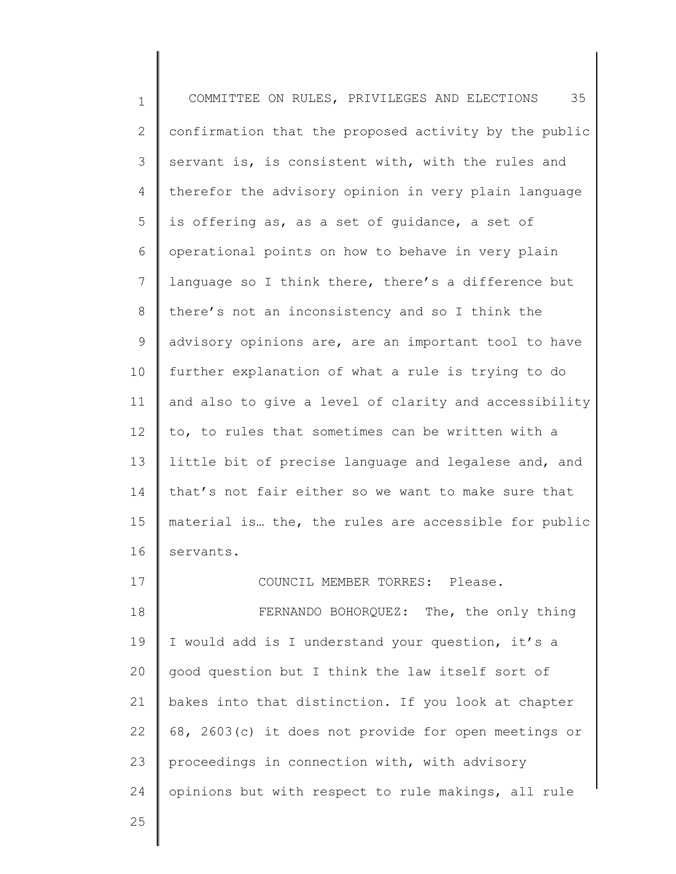1 2 3 4 5 6 7 8 9 10 11 12 13 14 15 16 17 18 19 20 21 22 23 24 COMMITTEE ON RULES, PRIVILEGES AND ELECTIONS 35 confirmation that the proposed activity by the public servant is, is consistent with, with the rules and therefor the advisory opinion in very plain language is offering as, as a set of guidance, a set of operational points on how to behave in very plain language so I think there, there's a difference but there's not an inconsistency and so I think the advisory opinions are, are an important tool to have further explanation of what a rule is trying to do and also to give a level of clarity and accessibility to, to rules that sometimes can be written with a little bit of precise language and legalese and, and that's not fair either so we want to make sure that material is… the, the rules are accessible for public servants. COUNCIL MEMBER TORRES: Please. FERNANDO BOHORQUEZ: The, the only thing I would add is I understand your question, it's a good question but I think the law itself sort of bakes into that distinction. If you look at chapter 68, 2603(c) it does not provide for open meetings or proceedings in connection with, with advisory opinions but with respect to rule makings, all rule

25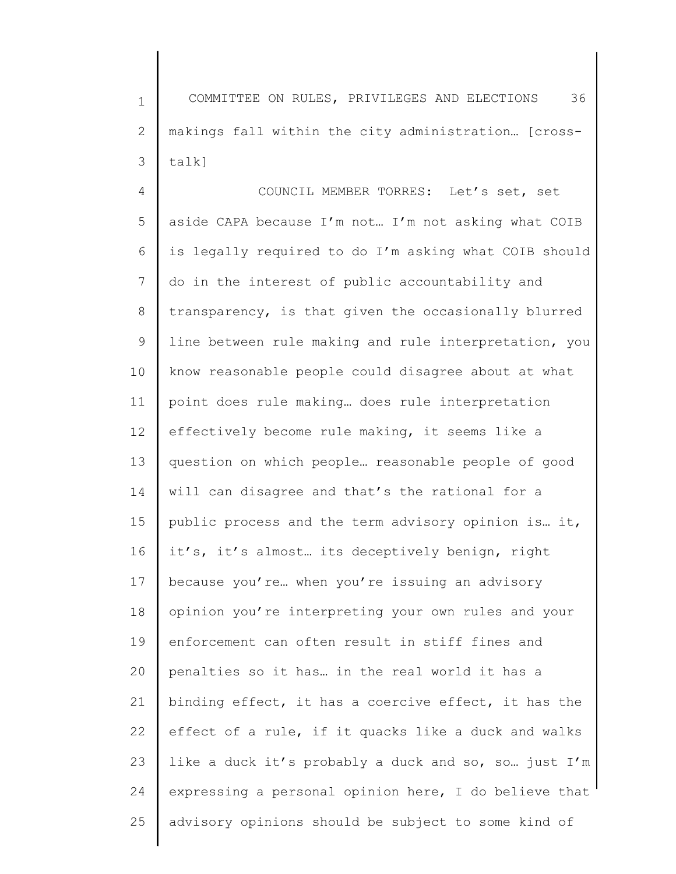1 2 3 COMMITTEE ON RULES, PRIVILEGES AND ELECTIONS 36 makings fall within the city administration… [crosstalk]

4 5 6 7 8 9 10 11 12 13 14 15 16 17 18 19 20 21 22 23 24 25 COUNCIL MEMBER TORRES: Let's set, set aside CAPA because I'm not… I'm not asking what COIB is legally required to do I'm asking what COIB should do in the interest of public accountability and transparency, is that given the occasionally blurred line between rule making and rule interpretation, you know reasonable people could disagree about at what point does rule making… does rule interpretation effectively become rule making, it seems like a question on which people… reasonable people of good will can disagree and that's the rational for a public process and the term advisory opinion is… it, it's, it's almost… its deceptively benign, right because you're… when you're issuing an advisory opinion you're interpreting your own rules and your enforcement can often result in stiff fines and penalties so it has… in the real world it has a binding effect, it has a coercive effect, it has the effect of a rule, if it quacks like a duck and walks like a duck it's probably a duck and so, so… just I'm expressing a personal opinion here, I do believe that advisory opinions should be subject to some kind of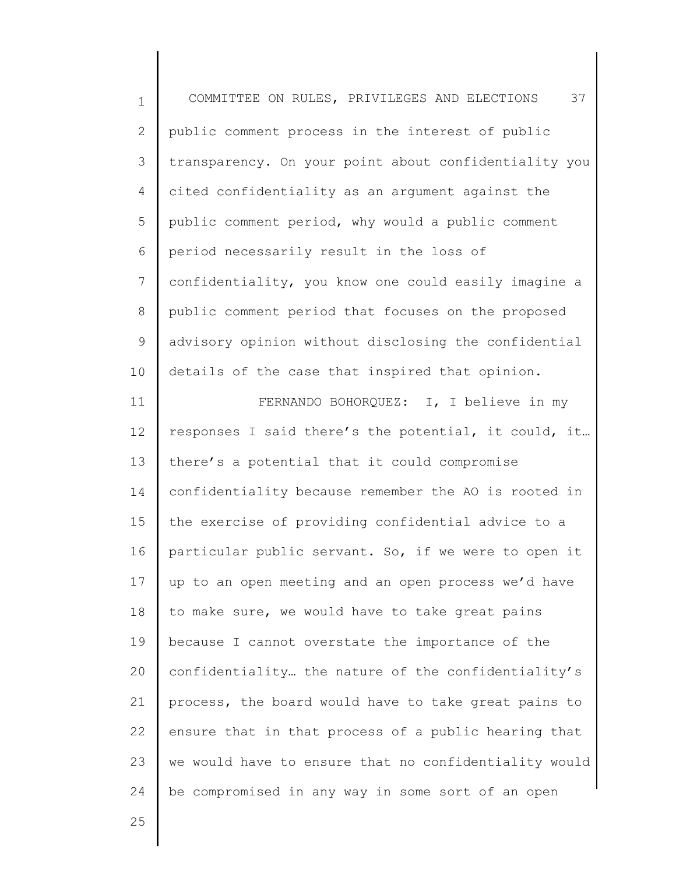| $\mathbf 1$    | 37<br>COMMITTEE ON RULES, PRIVILEGES AND ELECTIONS    |
|----------------|-------------------------------------------------------|
| $\mathbf{2}$   | public comment process in the interest of public      |
| 3              | transparency. On your point about confidentiality you |
| 4              | cited confidentiality as an argument against the      |
| 5              | public comment period, why would a public comment     |
| 6              | period necessarily result in the loss of              |
| $\overline{7}$ | confidentiality, you know one could easily imagine a  |
| 8              | public comment period that focuses on the proposed    |
| 9              | advisory opinion without disclosing the confidential  |
| 10             | details of the case that inspired that opinion.       |
| 11             | FERNANDO BOHORQUEZ: I, I believe in my                |
| 12             | responses I said there's the potential, it could, it  |
| 13             | there's a potential that it could compromise          |
| 14             | confidentiality because remember the AO is rooted in  |
| 15             | the exercise of providing confidential advice to a    |
| 16             | particular public servant. So, if we were to open it  |
| 17             | up to an open meeting and an open process we'd have   |
| 18             | to make sure, we would have to take great pains       |
| 19             | because I cannot overstate the importance of the      |
| 20             | confidentiality the nature of the confidentiality's   |
| 21             | process, the board would have to take great pains to  |
| 22             | ensure that in that process of a public hearing that  |
| 23             | we would have to ensure that no confidentiality would |
| 24             | be compromised in any way in some sort of an open     |
| 25             |                                                       |
|                |                                                       |

 $\mathsf I$ ∥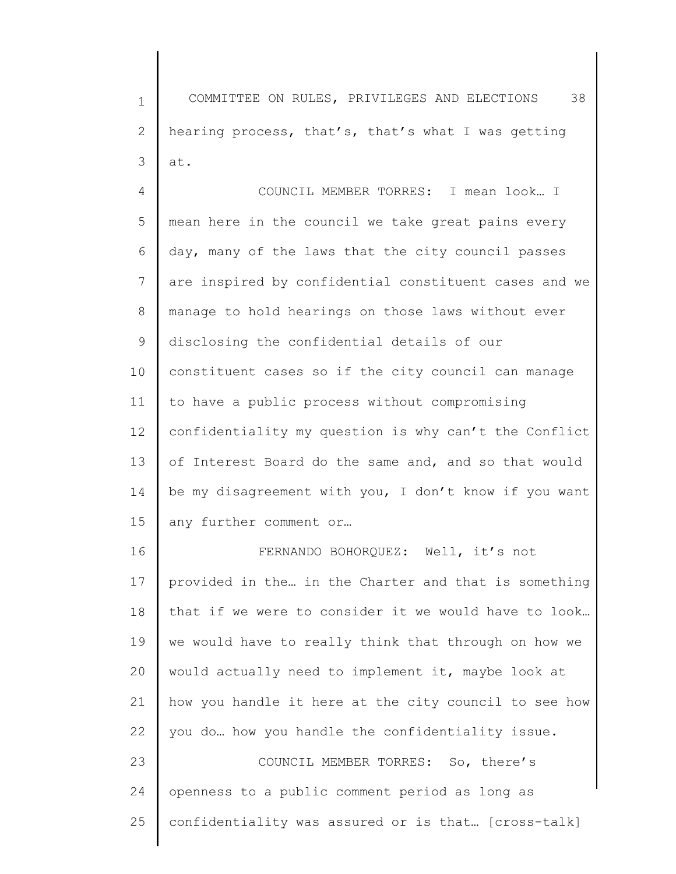1 2 3 COMMITTEE ON RULES, PRIVILEGES AND ELECTIONS 38 hearing process, that's, that's what I was getting at.

4 5 6 7 8 9 10 11 12 13 14 15 COUNCIL MEMBER TORRES: I mean look… I mean here in the council we take great pains every day, many of the laws that the city council passes are inspired by confidential constituent cases and we manage to hold hearings on those laws without ever disclosing the confidential details of our constituent cases so if the city council can manage to have a public process without compromising confidentiality my question is why can't the Conflict of Interest Board do the same and, and so that would be my disagreement with you, I don't know if you want any further comment or…

16 17 18 19 20 21 22 23 24 FERNANDO BOHORQUEZ: Well, it's not provided in the… in the Charter and that is something that if we were to consider it we would have to look… we would have to really think that through on how we would actually need to implement it, maybe look at how you handle it here at the city council to see how you do… how you handle the confidentiality issue. COUNCIL MEMBER TORRES: So, there's openness to a public comment period as long as

confidentiality was assured or is that… [cross-talk]

25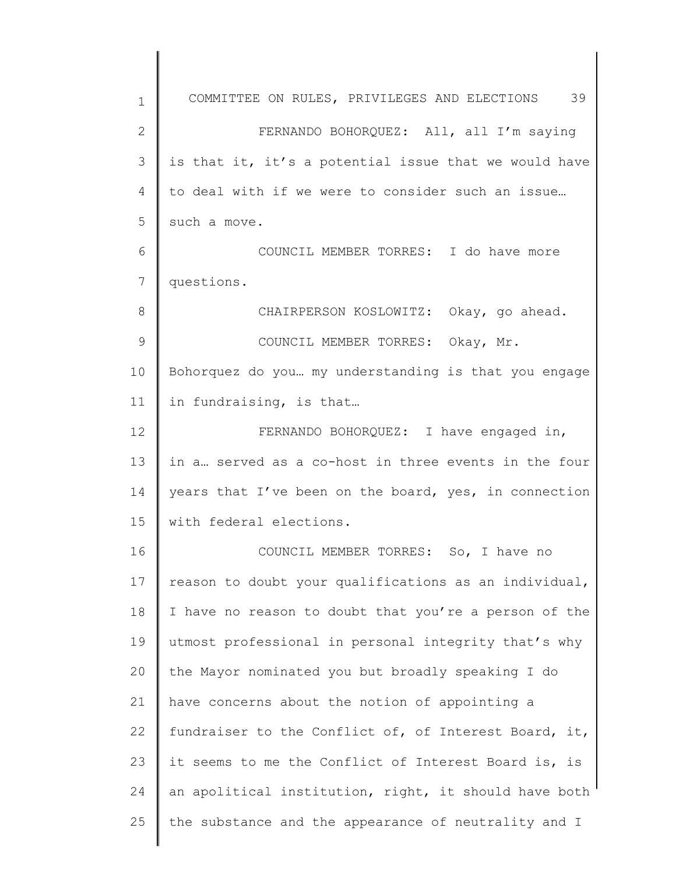1 2 3 4 5 6 7 8 9 10 11 12 13 14 15 16 17 18 19 20 21 22 23 24 25 COMMITTEE ON RULES, PRIVILEGES AND ELECTIONS 39 FERNANDO BOHORQUEZ: All, all I'm saying is that it, it's a potential issue that we would have to deal with if we were to consider such an issue… such a move. COUNCIL MEMBER TORRES: I do have more questions. CHAIRPERSON KOSLOWITZ: Okay, go ahead. COUNCIL MEMBER TORRES: Okay, Mr. Bohorquez do you… my understanding is that you engage in fundraising, is that… FERNANDO BOHORQUEZ: I have engaged in, in a… served as a co-host in three events in the four years that I've been on the board, yes, in connection with federal elections. COUNCIL MEMBER TORRES: So, I have no reason to doubt your qualifications as an individual, I have no reason to doubt that you're a person of the utmost professional in personal integrity that's why the Mayor nominated you but broadly speaking I do have concerns about the notion of appointing a fundraiser to the Conflict of, of Interest Board, it, it seems to me the Conflict of Interest Board is, is an apolitical institution, right, it should have both the substance and the appearance of neutrality and I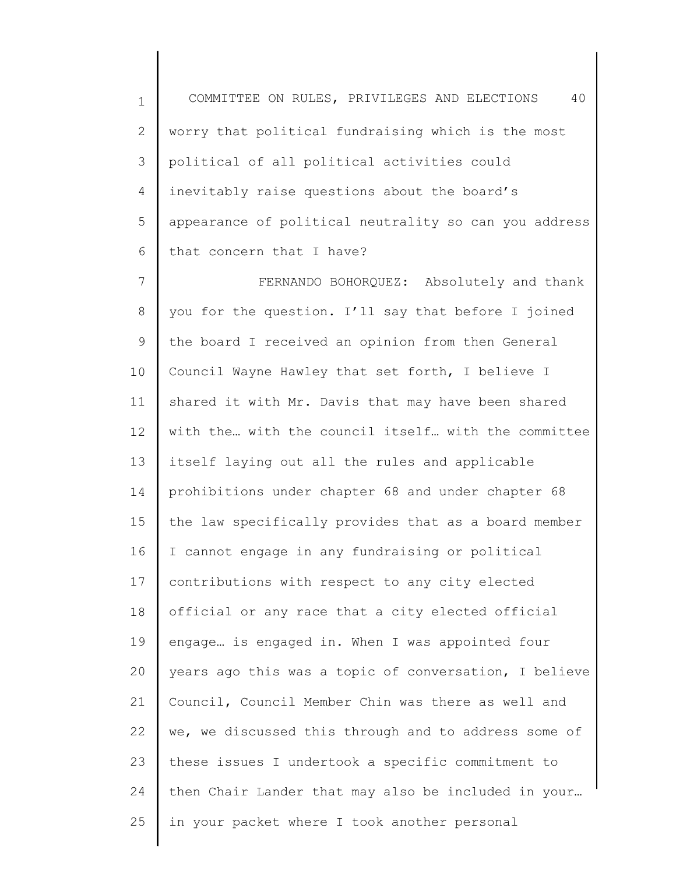1 2 3 4 5 6 COMMITTEE ON RULES, PRIVILEGES AND ELECTIONS 40 worry that political fundraising which is the most political of all political activities could inevitably raise questions about the board's appearance of political neutrality so can you address that concern that I have?

7 8 9 10 11 12 13 14 15 16 17 18 19 20 21 22 23 24 25 FERNANDO BOHORQUEZ: Absolutely and thank you for the question. I'll say that before I joined the board I received an opinion from then General Council Wayne Hawley that set forth, I believe I shared it with Mr. Davis that may have been shared with the… with the council itself… with the committee itself laying out all the rules and applicable prohibitions under chapter 68 and under chapter 68 the law specifically provides that as a board member I cannot engage in any fundraising or political contributions with respect to any city elected official or any race that a city elected official engage… is engaged in. When I was appointed four years ago this was a topic of conversation, I believe Council, Council Member Chin was there as well and we, we discussed this through and to address some of these issues I undertook a specific commitment to then Chair Lander that may also be included in your… in your packet where I took another personal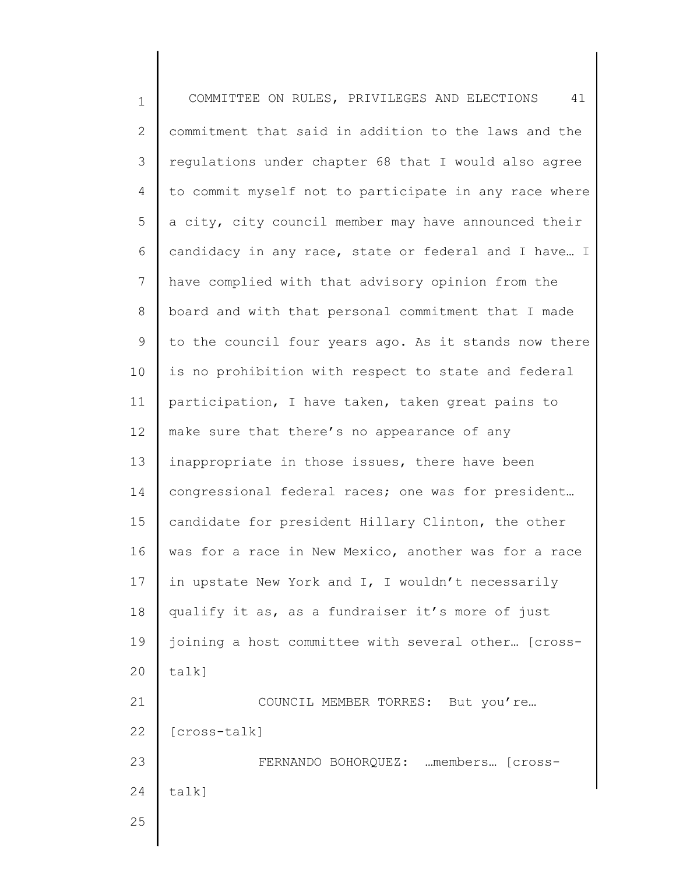1 2 3 4 5 6 7 8 9 10 11 12 13 14 15 16 17 18 19 20 21 22 23 24 25 COMMITTEE ON RULES, PRIVILEGES AND ELECTIONS 41 commitment that said in addition to the laws and the regulations under chapter 68 that I would also agree to commit myself not to participate in any race where a city, city council member may have announced their candidacy in any race, state or federal and I have… I have complied with that advisory opinion from the board and with that personal commitment that I made to the council four years ago. As it stands now there is no prohibition with respect to state and federal participation, I have taken, taken great pains to make sure that there's no appearance of any inappropriate in those issues, there have been congressional federal races; one was for president… candidate for president Hillary Clinton, the other was for a race in New Mexico, another was for a race in upstate New York and I, I wouldn't necessarily qualify it as, as a fundraiser it's more of just joining a host committee with several other… [crosstalk] COUNCIL MEMBER TORRES: But you're… [cross-talk] FERNANDO BOHORQUEZ: …members… [crosstalk]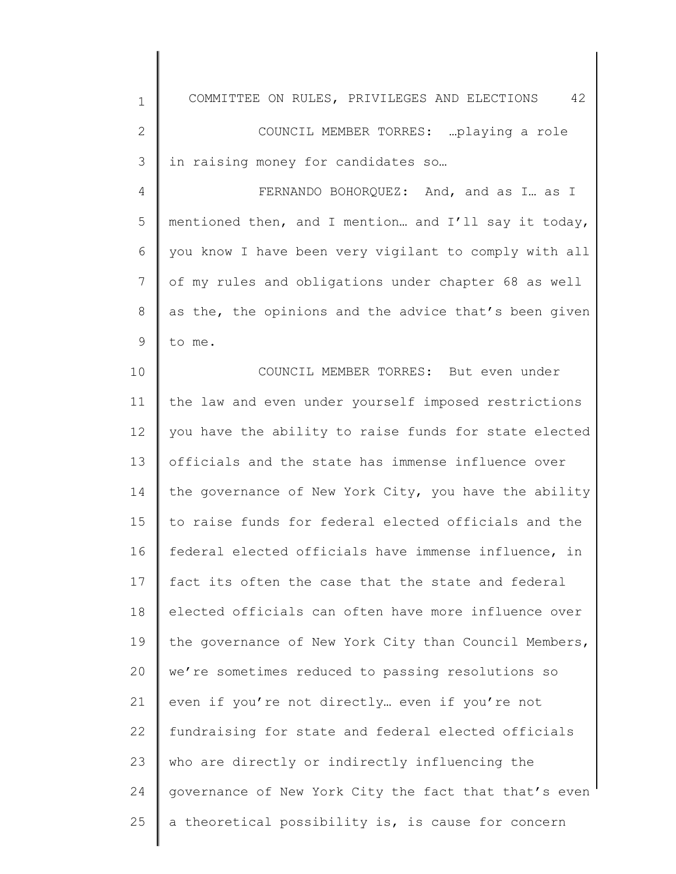| $\mathbf 1$   | 42<br>COMMITTEE ON RULES, PRIVILEGES AND ELECTIONS    |
|---------------|-------------------------------------------------------|
| $\mathbf{2}$  | COUNCIL MEMBER TORRES:  playing a role                |
| 3             | in raising money for candidates so                    |
| 4             | FERNANDO BOHORQUEZ: And, and as I as I                |
| 5             | mentioned then, and I mention and I'll say it today,  |
| 6             | you know I have been very vigilant to comply with all |
| 7             | of my rules and obligations under chapter 68 as well  |
| 8             | as the, the opinions and the advice that's been given |
| $\mathcal{G}$ | to me.                                                |
| 10            | COUNCIL MEMBER TORRES: But even under                 |
| 11            | the law and even under yourself imposed restrictions  |
| 12            | you have the ability to raise funds for state elected |
| 13            | officials and the state has immense influence over    |
| 14            | the governance of New York City, you have the ability |
| 15            | to raise funds for federal elected officials and the  |
| 16            | federal elected officials have immense influence, in  |
| 17            | fact its often the case that the state and federal    |
| 18            | elected officials can often have more influence over  |
| 19            | the governance of New York City than Council Members, |
| 20            | we're sometimes reduced to passing resolutions so     |
| 21            | even if you're not directly even if you're not        |
| 22            | fundraising for state and federal elected officials   |
| 23            | who are directly or indirectly influencing the        |
| 24            | governance of New York City the fact that that's even |
| 25            | a theoretical possibility is, is cause for concern    |
|               |                                                       |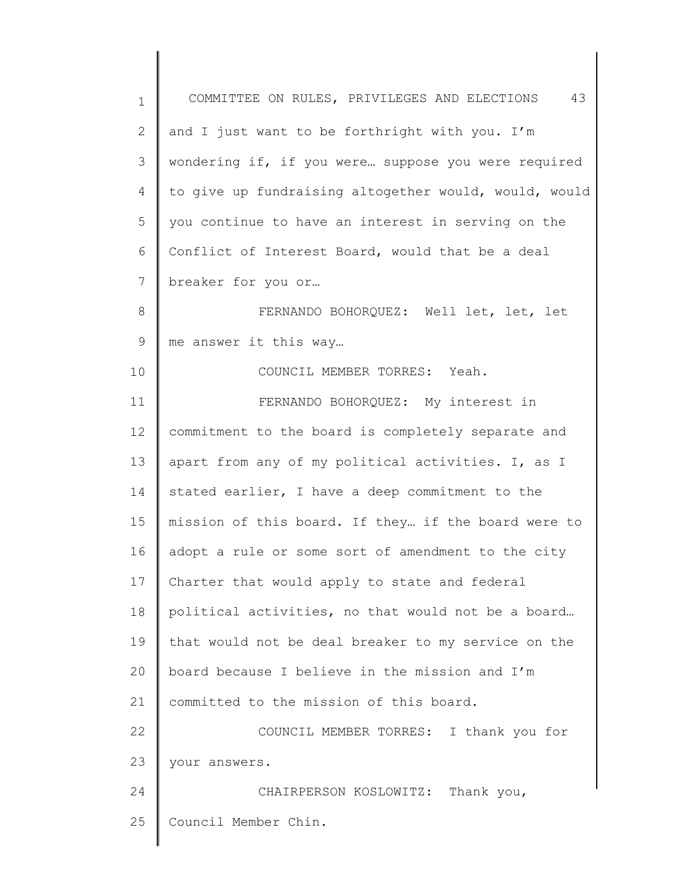| $\mathbf 1$   | 43<br>COMMITTEE ON RULES, PRIVILEGES AND ELECTIONS    |
|---------------|-------------------------------------------------------|
| 2             | and I just want to be forthright with you. I'm        |
| 3             | wondering if, if you were suppose you were required   |
| 4             | to give up fundraising altogether would, would, would |
| 5             | you continue to have an interest in serving on the    |
| 6             | Conflict of Interest Board, would that be a deal      |
| 7             | breaker for you or                                    |
| 8             | FERNANDO BOHORQUEZ: Well let, let, let                |
| $\mathcal{G}$ | me answer it this way                                 |
| 10            | COUNCIL MEMBER TORRES: Yeah.                          |
| 11            | FERNANDO BOHORQUEZ: My interest in                    |
| 12            | commitment to the board is completely separate and    |
| 13            | apart from any of my political activities. I, as I    |
| 14            | stated earlier, I have a deep commitment to the       |
| 15            | mission of this board. If they if the board were to   |
| 16            | adopt a rule or some sort of amendment to the city    |
| 17            | Charter that would apply to state and federal         |
| 18            | political activities, no that would not be a board    |
| 19            | that would not be deal breaker to my service on the   |
| 20            | board because I believe in the mission and I'm        |
| 21            | committed to the mission of this board.               |
| 22            | COUNCIL MEMBER TORRES: I thank you for                |
| 23            | your answers.                                         |
| 24            | CHAIRPERSON KOSLOWITZ: Thank you,                     |
| 25            | Council Member Chin.                                  |
|               |                                                       |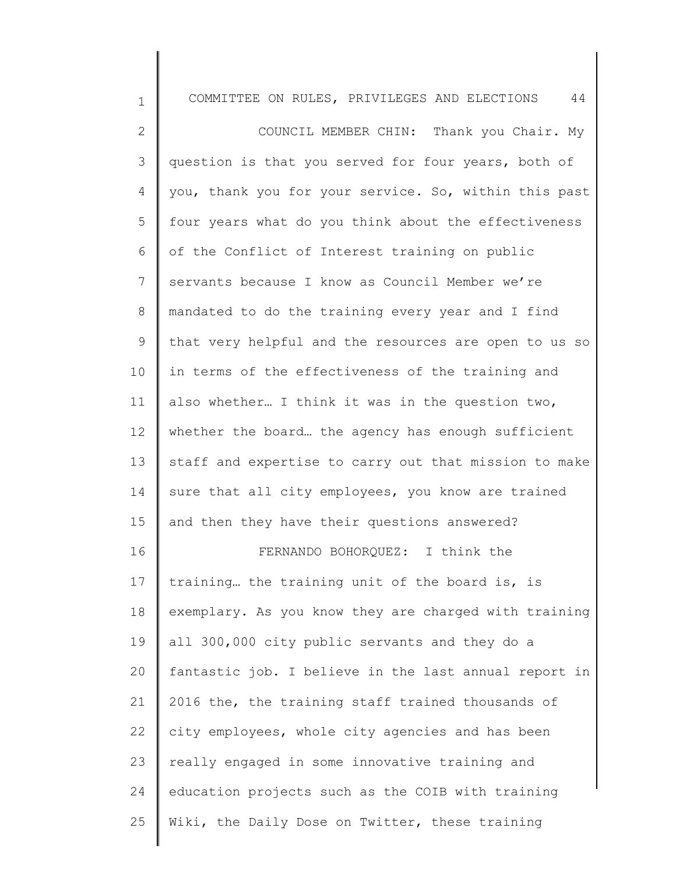| $\mathbf 1$  | 44<br>COMMITTEE ON RULES, PRIVILEGES AND ELECTIONS    |
|--------------|-------------------------------------------------------|
| $\mathbf{2}$ | COUNCIL MEMBER CHIN: Thank you Chair. My              |
| 3            | question is that you served for four years, both of   |
| 4            | you, thank you for your service. So, within this past |
| 5            | four years what do you think about the effectiveness  |
| 6            | of the Conflict of Interest training on public        |
| 7            | servants because I know as Council Member we're       |
| 8            | mandated to do the training every year and I find     |
| 9            | that very helpful and the resources are open to us so |
| 10           | in terms of the effectiveness of the training and     |
| 11           | also whether I think it was in the question two,      |
| 12           | whether the board the agency has enough sufficient    |
| 13           | staff and expertise to carry out that mission to make |
| 14           | sure that all city employees, you know are trained    |
| 15           | and then they have their questions answered?          |
| 16           | FERNANDO BOHORQUEZ: I think the                       |
| 17           | training the training unit of the board is, is        |
| 18           | exemplary. As you know they are charged with training |
| 19           | all 300,000 city public servants and they do a        |
| 20           | fantastic job. I believe in the last annual report in |
| 21           | 2016 the, the training staff trained thousands of     |
| 22           | city employees, whole city agencies and has been      |
| 23           | really engaged in some innovative training and        |
| 24           | education projects such as the COIB with training     |
| 25           | Wiki, the Daily Dose on Twitter, these training       |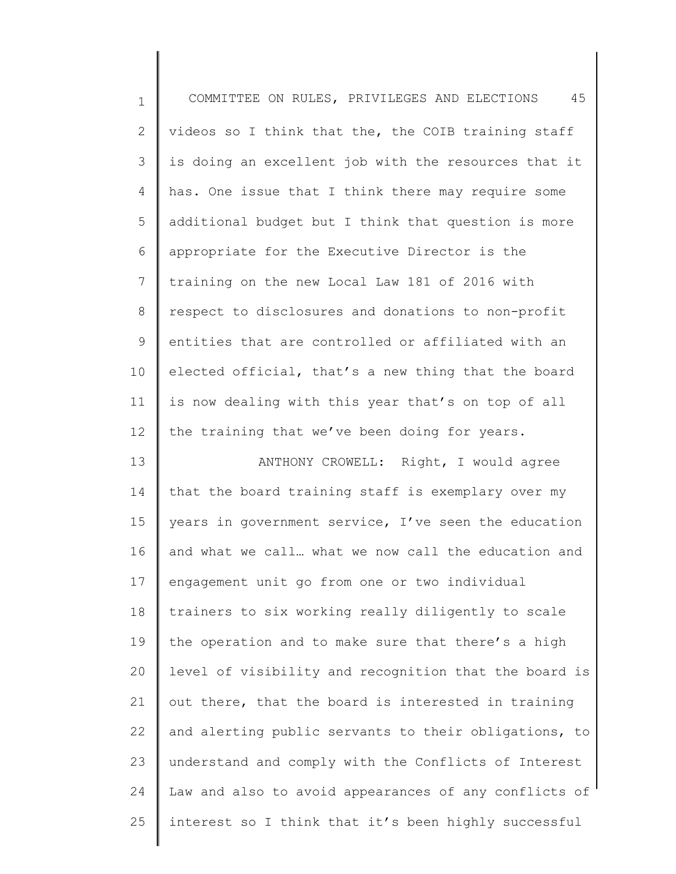| $\mathbf 1$     | 45<br>COMMITTEE ON RULES, PRIVILEGES AND ELECTIONS    |
|-----------------|-------------------------------------------------------|
| 2               | videos so I think that the, the COIB training staff   |
| 3               | is doing an excellent job with the resources that it  |
| 4               | has. One issue that I think there may require some    |
| 5               | additional budget but I think that question is more   |
| 6               | appropriate for the Executive Director is the         |
| $7\phantom{.0}$ | training on the new Local Law 181 of 2016 with        |
| 8               | respect to disclosures and donations to non-profit    |
| 9               | entities that are controlled or affiliated with an    |
| 10              | elected official, that's a new thing that the board   |
| 11              | is now dealing with this year that's on top of all    |
| 12              | the training that we've been doing for years.         |
| 13              | ANTHONY CROWELL: Right, I would agree                 |
| 14              | that the board training staff is exemplary over my    |
| 15              | years in government service, I've seen the education  |
| 16              | and what we call what we now call the education and   |
| 17              | engagement unit go from one or two individual         |
| 18              | trainers to six working really diligently to scale    |
| 19              | the operation and to make sure that there's a high    |
| 20              | level of visibility and recognition that the board is |
| 21              | out there, that the board is interested in training   |
| 22              | and alerting public servants to their obligations, to |
| 23              | understand and comply with the Conflicts of Interest  |
| 24              | Law and also to avoid appearances of any conflicts of |
| 25              | interest so I think that it's been highly successful  |
|                 |                                                       |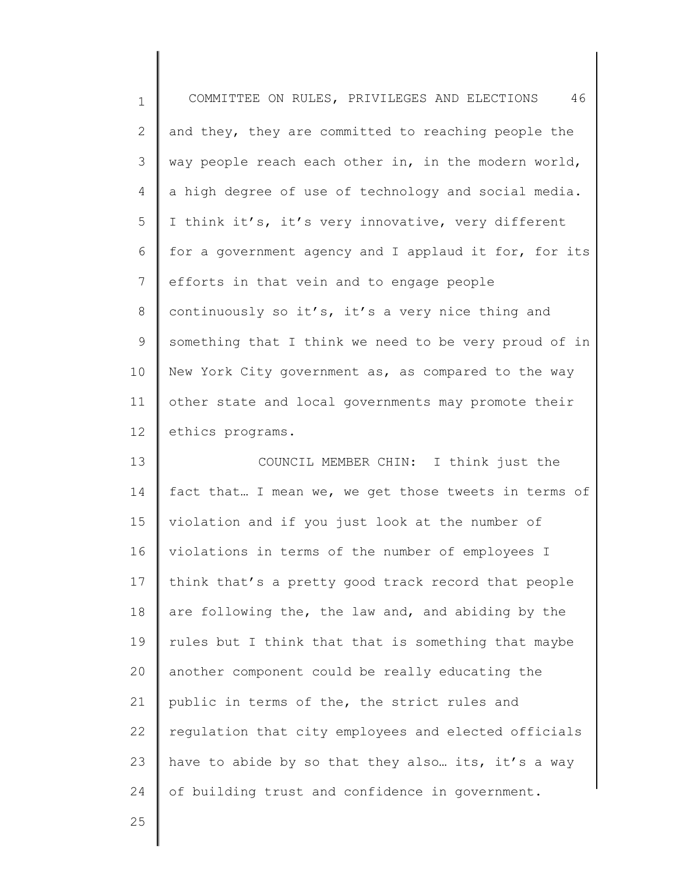| $\mathbf{1}$ | 46<br>COMMITTEE ON RULES, PRIVILEGES AND ELECTIONS    |
|--------------|-------------------------------------------------------|
| $\mathbf{2}$ | and they, they are committed to reaching people the   |
| 3            | way people reach each other in, in the modern world,  |
| 4            | a high degree of use of technology and social media.  |
| 5            | I think it's, it's very innovative, very different    |
| 6            | for a government agency and I applaud it for, for its |
| 7            | efforts in that vein and to engage people             |
| 8            | continuously so it's, it's a very nice thing and      |
| 9            | something that I think we need to be very proud of in |
| 10           | New York City government as, as compared to the way   |
| 11           | other state and local governments may promote their   |
| 12           | ethics programs.                                      |
| 13           | COUNCIL MEMBER CHIN: I think just the                 |
| 14           | fact that I mean we, we get those tweets in terms of  |

14 15 16 17 18 19 20 21 22 23 24 violation and if you just look at the number of violations in terms of the number of employees I think that's a pretty good track record that people are following the, the law and, and abiding by the rules but I think that that is something that maybe another component could be really educating the public in terms of the, the strict rules and regulation that city employees and elected officials have to abide by so that they also... its, it's a way of building trust and confidence in government.

25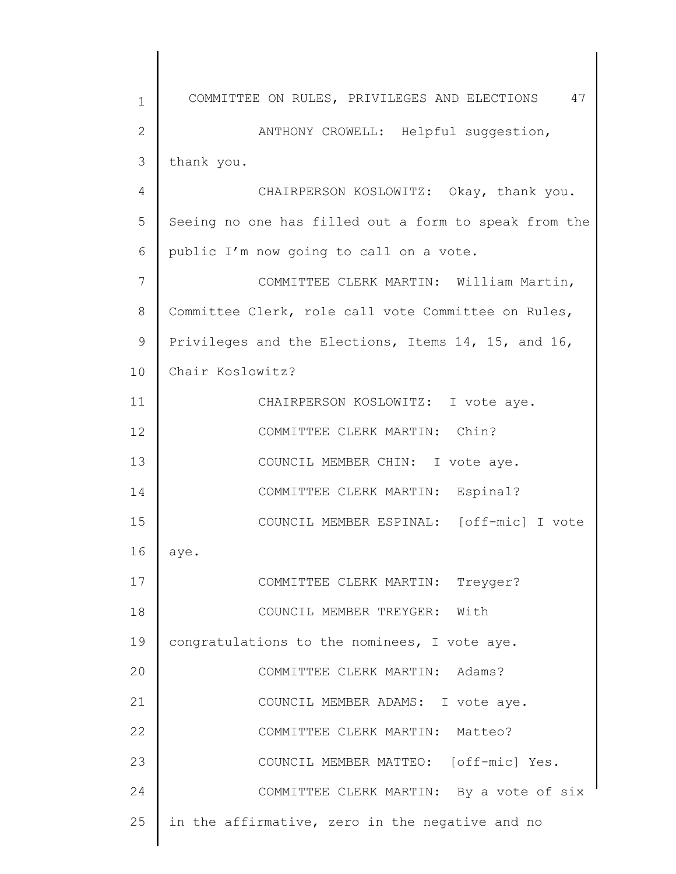| $\mathbf 1$  | COMMITTEE ON RULES, PRIVILEGES AND ELECTIONS 47       |
|--------------|-------------------------------------------------------|
| $\mathbf{2}$ | ANTHONY CROWELL: Helpful suggestion,                  |
| 3            | thank you.                                            |
| 4            | CHAIRPERSON KOSLOWITZ: Okay, thank you.               |
| 5            | Seeing no one has filled out a form to speak from the |
| 6            | public I'm now going to call on a vote.               |
| 7            | COMMITTEE CLERK MARTIN: William Martin,               |
| 8            | Committee Clerk, role call vote Committee on Rules,   |
| 9            | Privileges and the Elections, Items 14, 15, and 16,   |
| 10           | Chair Koslowitz?                                      |
| 11           | CHAIRPERSON KOSLOWITZ: I vote aye.                    |
| 12           | COMMITTEE CLERK MARTIN: Chin?                         |
| 13           | COUNCIL MEMBER CHIN: I vote aye.                      |
| 14           | COMMITTEE CLERK MARTIN: Espinal?                      |
| 15           | COUNCIL MEMBER ESPINAL: [off-mic] I vote              |
| 16           | aye.                                                  |
| 17           | COMMITTEE CLERK MARTIN: Treyger?                      |
| 18           | COUNCIL MEMBER TREYGER: With                          |
| 19           | congratulations to the nominees, I vote aye.          |
| 20           | COMMITTEE CLERK MARTIN: Adams?                        |
| 21           | COUNCIL MEMBER ADAMS: I vote aye.                     |
| 22           | COMMITTEE CLERK MARTIN: Matteo?                       |
| 23           | COUNCIL MEMBER MATTEO: [off-mic] Yes.                 |
| 24           | COMMITTEE CLERK MARTIN: By a vote of six              |
| 25           | in the affirmative, zero in the negative and no       |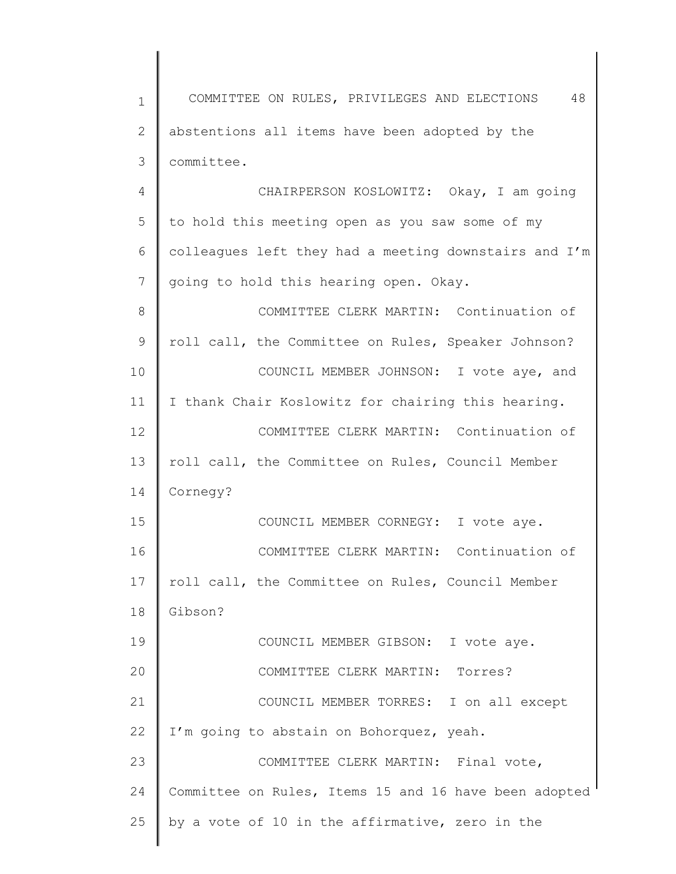1 2 3 4 5 6 7 8 9 10 11 12 13 14 15 16 17 18 19 20 21 22 23 24 25 COMMITTEE ON RULES, PRIVILEGES AND ELECTIONS 48 abstentions all items have been adopted by the committee. CHAIRPERSON KOSLOWITZ: Okay, I am going to hold this meeting open as you saw some of my colleagues left they had a meeting downstairs and I'm going to hold this hearing open. Okay. COMMITTEE CLERK MARTIN: Continuation of roll call, the Committee on Rules, Speaker Johnson? COUNCIL MEMBER JOHNSON: I vote aye, and I thank Chair Koslowitz for chairing this hearing. COMMITTEE CLERK MARTIN: Continuation of roll call, the Committee on Rules, Council Member Cornegy? COUNCIL MEMBER CORNEGY: I vote aye. COMMITTEE CLERK MARTIN: Continuation of roll call, the Committee on Rules, Council Member Gibson? COUNCIL MEMBER GIBSON: I vote aye. COMMITTEE CLERK MARTIN: Torres? COUNCIL MEMBER TORRES: I on all except I'm going to abstain on Bohorquez, yeah. COMMITTEE CLERK MARTIN: Final vote, Committee on Rules, Items 15 and 16 have been adopted by a vote of 10 in the affirmative, zero in the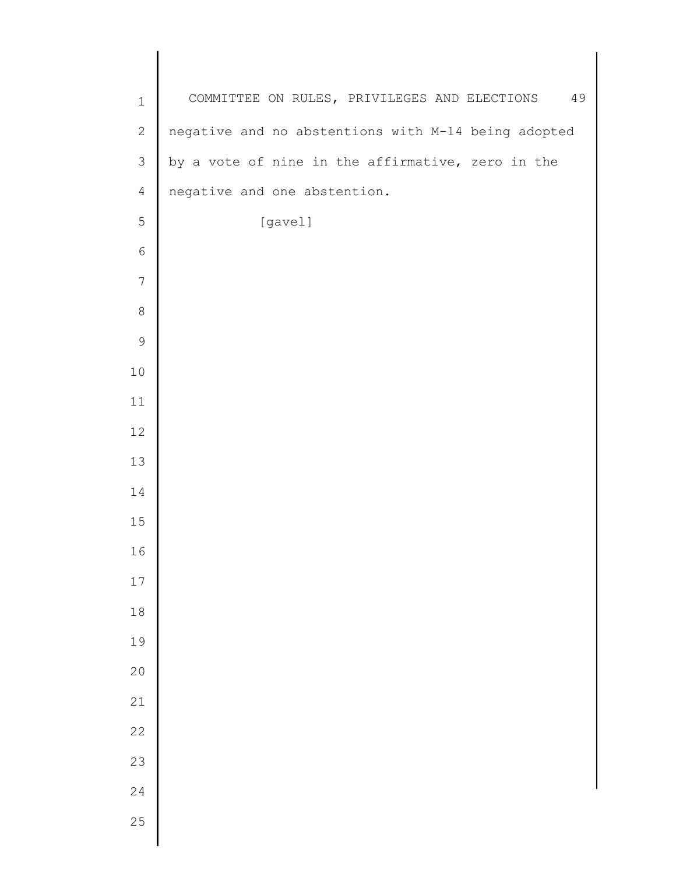| COMMITTEE ON RULES, PRIVILEGES AND ELECTIONS<br>$\mathbf 1$<br>$\mathbf{2}$<br>negative and no abstentions with M-14 being adopted<br>by a vote of nine in the affirmative, zero in the<br>$\mathfrak{Z}$<br>$\overline{4}$<br>negative and one abstention.<br>5<br>[gavel]<br>$\epsilon$<br>7<br>$\,8\,$<br>$\mathsf 9$<br>$10$<br>11<br>$12$<br>13<br>14<br>15<br>16<br>17<br>$1\,8$<br>19<br>20 |    |
|----------------------------------------------------------------------------------------------------------------------------------------------------------------------------------------------------------------------------------------------------------------------------------------------------------------------------------------------------------------------------------------------------|----|
|                                                                                                                                                                                                                                                                                                                                                                                                    | 49 |
|                                                                                                                                                                                                                                                                                                                                                                                                    |    |
|                                                                                                                                                                                                                                                                                                                                                                                                    |    |
|                                                                                                                                                                                                                                                                                                                                                                                                    |    |
|                                                                                                                                                                                                                                                                                                                                                                                                    |    |
|                                                                                                                                                                                                                                                                                                                                                                                                    |    |
|                                                                                                                                                                                                                                                                                                                                                                                                    |    |
|                                                                                                                                                                                                                                                                                                                                                                                                    |    |
|                                                                                                                                                                                                                                                                                                                                                                                                    |    |
|                                                                                                                                                                                                                                                                                                                                                                                                    |    |
|                                                                                                                                                                                                                                                                                                                                                                                                    |    |
|                                                                                                                                                                                                                                                                                                                                                                                                    |    |
|                                                                                                                                                                                                                                                                                                                                                                                                    |    |
|                                                                                                                                                                                                                                                                                                                                                                                                    |    |
|                                                                                                                                                                                                                                                                                                                                                                                                    |    |
|                                                                                                                                                                                                                                                                                                                                                                                                    |    |
|                                                                                                                                                                                                                                                                                                                                                                                                    |    |
|                                                                                                                                                                                                                                                                                                                                                                                                    |    |
|                                                                                                                                                                                                                                                                                                                                                                                                    |    |
|                                                                                                                                                                                                                                                                                                                                                                                                    |    |
| 21                                                                                                                                                                                                                                                                                                                                                                                                 |    |
| 22                                                                                                                                                                                                                                                                                                                                                                                                 |    |
| 23                                                                                                                                                                                                                                                                                                                                                                                                 |    |
| 24                                                                                                                                                                                                                                                                                                                                                                                                 |    |
| 25                                                                                                                                                                                                                                                                                                                                                                                                 |    |